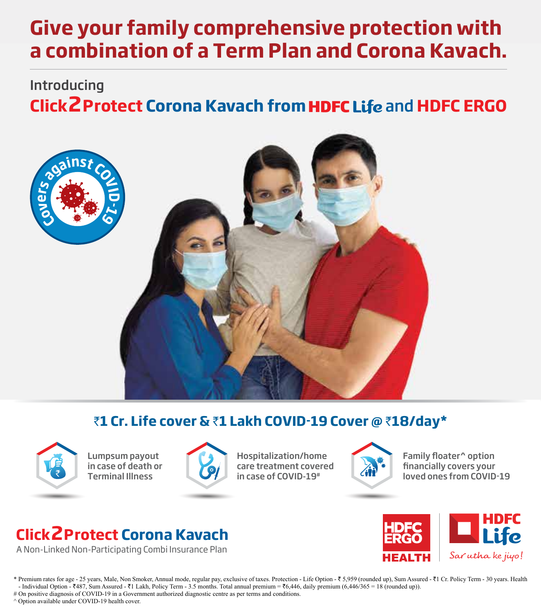# **Give your family comprehensive protection with a combination of a Term Plan and Corona Kavach.**

# **Click 2Protect Corona Kavach from HDFC Life and HDFC ERGO** Introducing



# `**1 Cr. Life cover &** `**1 Lakh COVID-19 Cover @** `**18/day\***



Lumpsum payout in case of death or Terminal Illness



Hospitalization/home care treatment covered in case of COVID-19#



Family floater<sup>^</sup> option financially covers your loved ones from COVID-19

# **Click2Protect Corona Kavach**

A Non-Linked Non-Participating Combi Insurance Plan



\* Premium rates for age - 25 years, Male, Non Smoker, Annual mode, regular pay, exclusive of taxes. Protection - Life Option - ₹ 5,959 (rounded up), Sum Assured - ₹1 Cr. Policy Term - 30 years. Health - Individual Option -  $\overline{487}$ , Sum Assured -  $\overline{41}$  Lakh, Policy Term - 3.5 months. Total annual premium =  $\overline{46}$ , 446, daily premium (6,446/365 = 18 (rounded up)). # On positive diagnosis of COVID-19 in a Government authorized diagnostic centre as per terms and conditions.

^ Option available under COVID-19 health cover.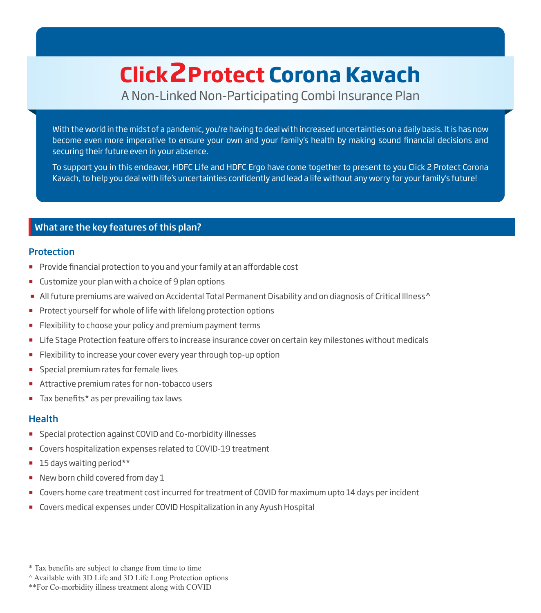# **Click2Protect Corona Kavach**

A Non-Linked Non-Participating Combi Insurance Plan

With the world in the midst of a pandemic, you're having to deal with increased uncertainties on a daily basis. It is has now become even more imperative to ensure your own and your family's health by making sound financial decisions and securing their future even in your absence.

To support you in this endeavor, HDFC Life and HDFC Ergo have come together to present to you Click 2 Protect Corona Kavach, to help you deal with life's uncertainties confidently and lead a life without any worry for your family's future!

# What are the key features of this plan?

#### **Protection**

- Provide financial protection to you and your family at an affordable cost
- **Customize your plan with a choice of 9 plan options**
- All future premiums are waived on Accidental Total Permanent Disability and on diagnosis of Critical Illness^
- Protect yourself for whole of life with lifelong protection options
- **Flexibility to choose your policy and premium payment terms**
- In Life Stage Protection feature offers to increase insurance cover on certain key milestones without medicals
- **Flexibility to increase your cover every year through top-up option**
- Special premium rates for female lives
- **Attractive premium rates for non-tobacco users**
- Tax benefits\* as per prevailing tax laws

#### **Health**

- **Special protection against COVID and Co-morbidity illnesses**
- Covers hospitalization expenses related to COVID-19 treatment
- 15 days waiting period\*\*
- New born child covered from day 1
- Covers home care treatment cost incurred for treatment of COVID for maximum upto 14 days per incident
- Covers medical expenses under COVID Hospitalization in any Ayush Hospital

<sup>\*</sup> Tax benefits are subject to change from time to time

<sup>^</sup> Available with 3D Life and 3D Life Long Protection options

<sup>\*\*</sup>For Co-morbidity illness treatment along with COVID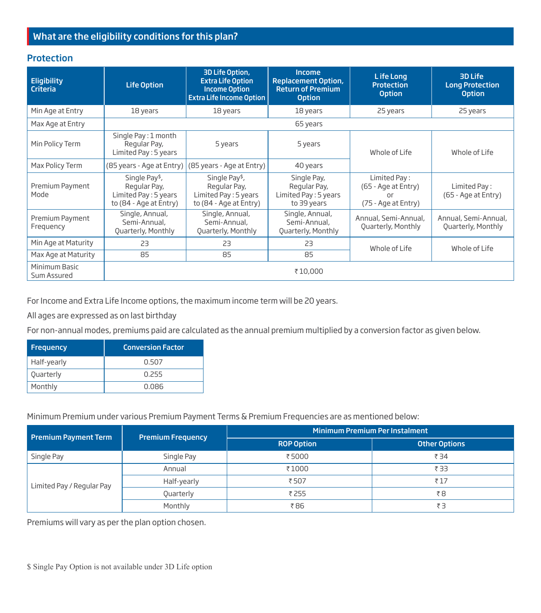# What are the eligibility conditions for this plan?

#### **Protection**

| <b>Eligibility</b><br><b>Criteria</b> | <b>Life Option</b>                                                                            | 3D Life Option,<br><b>Extra Life Option</b><br><b>Income Option</b><br><b>Extra Life Income Option</b> | Income<br><b>Replacement Option,</b><br><b>Return of Premium</b><br><b>Option</b> | Life Long<br>Protection<br><b>Option</b>                         | 3D Life<br><b>Long Protection</b><br><b>Option</b> |
|---------------------------------------|-----------------------------------------------------------------------------------------------|--------------------------------------------------------------------------------------------------------|-----------------------------------------------------------------------------------|------------------------------------------------------------------|----------------------------------------------------|
| Min Age at Entry                      | 18 years                                                                                      | 18 years                                                                                               | 18 years                                                                          | 25 years                                                         | 25 years                                           |
| Max Age at Entry                      |                                                                                               |                                                                                                        | 65 years                                                                          |                                                                  |                                                    |
| Min Policy Term                       | Single Pay: 1 month<br>Regular Pay,<br>5 years<br>Limited Pay: 5 years                        |                                                                                                        | 5 years                                                                           | Whole of Life                                                    | Whole of Life                                      |
| Max Policy Term                       | (85 years - Age at Entry)                                                                     | (85 years - Age at Entry)                                                                              | 40 years                                                                          |                                                                  |                                                    |
| Premium Payment<br>Mode               | Single Pay <sup>\$</sup> ,<br>Regular Pay,<br>Limited Pay : 5 years<br>to (84 - Age at Entry) | Single Pay <sup>\$</sup> ,<br>Regular Pay,<br>Limited Pay: 5 years<br>to (84 - Age at Entry)           | Single Pay,<br>Regular Pay,<br>Limited Pay: 5 years<br>to 39 years                | Limited Pay:<br>(65 - Age at Entry)<br>nr<br>(75 - Age at Entry) | Limited Pay:<br>(65 - Age at Entry)                |
| Premium Payment<br>Frequency          | Single, Annual,<br>Semi-Annual,<br>Quarterly, Monthly                                         | Single, Annual,<br>Semi-Annual,<br>Quarterly, Monthly                                                  | Single, Annual,<br>Semi-Annual,<br>Quarterly, Monthly                             | Annual, Semi-Annual,<br>Quarterly, Monthly                       | Annual, Semi-Annual,<br>Quarterly, Monthly         |
| Min Age at Maturity                   | 23                                                                                            | 23                                                                                                     | 23                                                                                | Whole of Life                                                    | Whole of Life                                      |
| Max Age at Maturity                   | 85                                                                                            | 85                                                                                                     | 85                                                                                |                                                                  |                                                    |
| Minimum Basic<br>Sum Assured          | ₹10,000                                                                                       |                                                                                                        |                                                                                   |                                                                  |                                                    |

For Income and Extra Life Income options, the maximum income term will be 20 years.

All ages are expressed as on last birthday

For non-annual modes, premiums paid are calculated as the annual premium multiplied by a conversion factor as given below.

| Frequency   | <b>Conversion Factor</b> |
|-------------|--------------------------|
| Half-yearly | 0.507                    |
| Quarterly   | 0.255                    |
| Monthly     | 0.086                    |

Minimum Premium under various Premium Payment Terms & Premium Frequencies are as mentioned below:

| <b>Premium Payment Term</b> | <b>Premium Frequency</b> | <b>Minimum Premium Per Instalment</b> |                      |  |
|-----------------------------|--------------------------|---------------------------------------|----------------------|--|
|                             |                          | <b>ROP Option</b>                     | <b>Other Options</b> |  |
| Single Pay                  | Single Pay               | ₹5000                                 | ₹34                  |  |
| Limited Pay / Regular Pay   | Annual                   | ₹1000                                 | ₹ 33                 |  |
|                             | Half-yearly              | ₹507                                  | ₹17                  |  |
|                             | Quarterly                | ₹ 255                                 | ₹8                   |  |
|                             | Monthly                  | ₹86                                   | ₹З                   |  |

Premiums will vary as per the plan option chosen.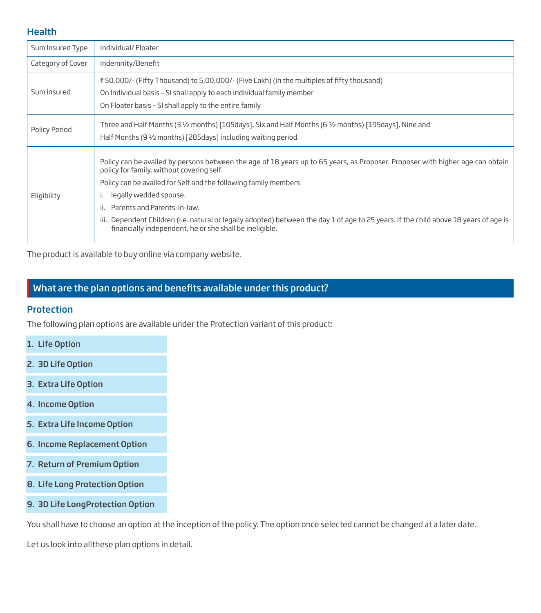#### **Health**

| Sum Insured Type  | Individual/Floater                                                                                                                                                                                                                                                                                                                                                                                                                                                                                                |
|-------------------|-------------------------------------------------------------------------------------------------------------------------------------------------------------------------------------------------------------------------------------------------------------------------------------------------------------------------------------------------------------------------------------------------------------------------------------------------------------------------------------------------------------------|
| Category of Cover | Indemnity/Benefit                                                                                                                                                                                                                                                                                                                                                                                                                                                                                                 |
| Sum insured       | ₹50,000/- (Fifty Thousand) to 5,00,000/- (Five Lakh) (in the multiples of fifty thousand)<br>On Individual basis - SI shall apply to each individual family member<br>On Floater basis - SI shall apply to the entire family                                                                                                                                                                                                                                                                                      |
| Policy Period     | Three and Half Months (3 $\frac{1}{2}$ months) [105days], Six and Half Months (6 $\frac{1}{2}$ months) [195days], Nine and<br>Half Months (9 1/2 months) [285days] including waiting period.                                                                                                                                                                                                                                                                                                                      |
| Eligibility       | Policy can be availed by persons between the age of 18 years up to 65 years, as Proposer. Proposer with higher age can obtain<br>policy for family, without covering self.<br>Policy can be availed for Self and the following family members<br>legally wedded spouse.<br>Parents and Parents-in-law.<br>ii.<br>iii. Dependent Children (i.e. natural or legally adopted) between the day 1 of age to 25 years. If the child above 18 years of age is<br>financially independent, he or she shall be ineligible. |

The product is available to buy online via company website.

# What are the plan options and benefits available under this product?

#### **Protection**

The following plan options are available under the Protection variant of this product:

- 1. Life Option
- 2. 3D Life Option
- 3. Extra Life Option
- 4. Income Option
- 5. Extra Life Income Option
- 6. Income Replacement Option
- 7. Return of Premium Option
- 8. Life Long Protection Option
- 9. 3D Life LongProtection Option

You shall have to choose an option at the inception of the policy. The option once selected cannot be changed at a later date.

Let us look into allthese plan options in detail.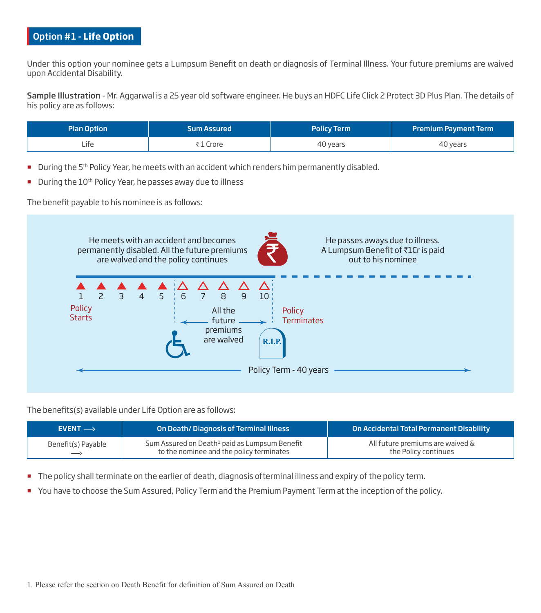# Option #1 - **Life Option**

Under this option your nominee gets a Lumpsum Benefit on death or diagnosis of Terminal Illness. Your future premiums are waived upon Accidental Disability.

Sample Illustration - Mr. Aggarwal is a 25 year old software engineer. He buys an HDFC Life Click 2 Protect 3D Plus Plan. The details of his policy are as follows:

| <b>Plan Option</b> | <b>Sum Assured</b> | <b>Policy Term</b> | <b>Premium Payment Term</b> |
|--------------------|--------------------|--------------------|-----------------------------|
| Lite               | l Crore            | 40 years           | 40 years                    |

- During the 5<sup>th</sup> Policy Year, he meets with an accident which renders him permanently disabled.
- During the 10<sup>th</sup> Policy Year, he passes away due to illness

The benefit payable to his nominee is as follows:



The benefits(s) available under Life Option are as follows:

| $EVENT \rightarrow$ | <b>On Death/Diagnosis of Terminal Illness</b>                                                         | On Accidental Total Permanent Disability                 |
|---------------------|-------------------------------------------------------------------------------------------------------|----------------------------------------------------------|
| Benefit(s) Payable  | Sum Assured on Death <sup>1</sup> paid as Lumpsum Benefit<br>to the nominee and the policy terminates | All future premiums are waived &<br>the Policy continues |

- The policy shall terminate on the earlier of death, diagnosis ofterminal illness and expiry of the policy term.
- You have to choose the Sum Assured, Policy Term and the Premium Payment Term at the inception of the policy.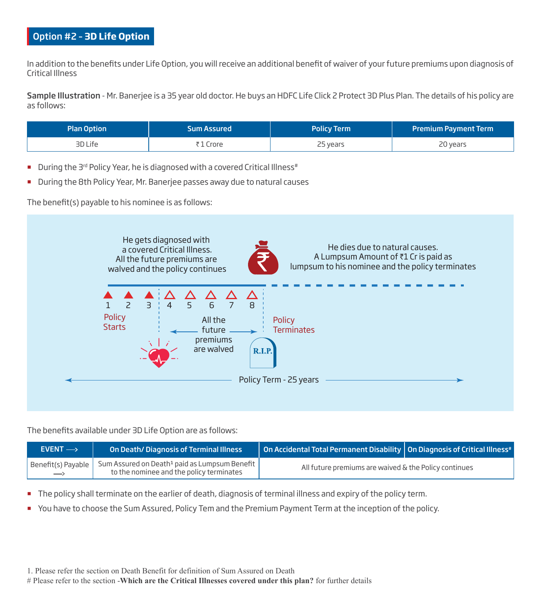# Option #2 – **3D Life Option**

In addition to the benefits under Life Option, you will receive an additional benefit of waiver of your future premiums upon diagnosis of Critical Illness

Sample Illustration - Mr. Banerjee is a 35 year old doctor. He buys an HDFC Life Click 2 Protect 3D Plus Plan. The details of his policy are as follows:

| <b>Plan Option</b> | <b>Sum Assured</b> | <b>Policy Term</b> | <b>Premium Payment Term</b> |
|--------------------|--------------------|--------------------|-----------------------------|
| 3D Life            | . Crore            | 25 years           | 20 years                    |

- During the 3<sup>rd</sup> Policy Year, he is diagnosed with a covered Critical Illness<sup>#</sup>
- During the 8th Policy Year, Mr. Banerjee passes away due to natural causes

The benefit(s) payable to his nominee is as follows:



The benefits available under 3D Life Option are as follows:

| $EVENT \rightarrow$                     | On Death/Diagnosis of Terminal Illness                                                                | $\mid$ On Accidental Total Permanent Disability $\mid$ On Diagnosis of Critical Illness# $\mid$ |  |
|-----------------------------------------|-------------------------------------------------------------------------------------------------------|-------------------------------------------------------------------------------------------------|--|
| Benefit(s) Payable<br>$\longrightarrow$ | Sum Assured on Death <sup>1</sup> paid as Lumpsum Benefit<br>to the nominee and the policy terminates | All future premiums are waived & the Policy continues                                           |  |

- The policy shall terminate on the earlier of death, diagnosis of terminal illness and expiry of the policy term.
- You have to choose the Sum Assured, Policy Tem and the Premium Payment Term at the inception of the policy.

1. Please refer the section on Death Benefit for definition of Sum Assured on Death

# Please refer to the section -**Which are the Critical Illnesses covered under this plan?** for further details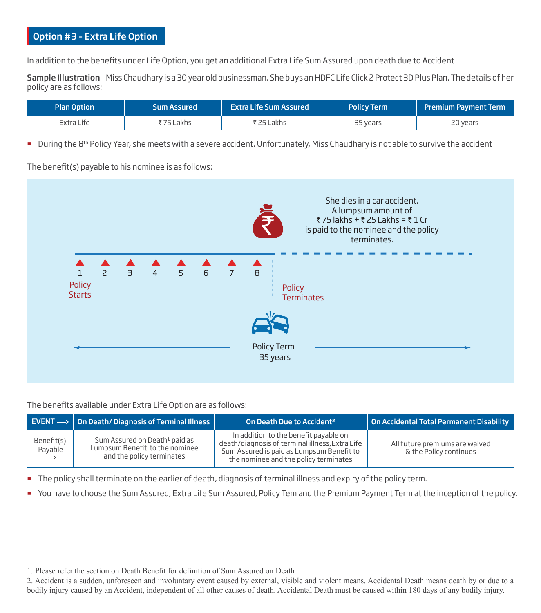# Option #3 – Extra Life Option

In addition to the benefits under Life Option, you get an additional Extra Life Sum Assured upon death due to Accident

Sample Illustration - Miss Chaudhary is a 30 year old businessman. She buys an HDFC Life Click 2 Protect 3D Plus Plan. The details of her policy are as follows:

| Plan Option | <b>Sum Assured</b> | <b>Extra Life Sum Assured</b> | <b>Policy Term</b> | <b>Premium Payment Term</b> |
|-------------|--------------------|-------------------------------|--------------------|-----------------------------|
| Extra Life  | ₹75 Lakhs          | ₹ 25 Lakhs                    | 35 years           | 20 years                    |

During the  $8<sup>th</sup>$  Policy Year, she meets with a severe accident. Unfortunately, Miss Chaudhary is not able to survive the accident

The benefit(s) payable to his nominee is as follows:

![](_page_6_Figure_6.jpeg)

The benefits available under Extra Life Option are as follows:

|                                            | EVENT $\rightarrow$ 0n Death/Diagnosis of Terminal Illness                                               | On Death Due to Accident <sup>2</sup>                                                                                                                                          | On Accidental Total Permanent Disability                 |
|--------------------------------------------|----------------------------------------------------------------------------------------------------------|--------------------------------------------------------------------------------------------------------------------------------------------------------------------------------|----------------------------------------------------------|
| Benefit(s)<br>Payable<br>$\longrightarrow$ | Sum Assured on Death <sup>1</sup> paid as<br>Lumpsum Benefit to the nominee<br>and the policy terminates | In addition to the benefit payable on<br>death/diagnosis of terminal illness, Extra Life<br>Sum Assured is paid as Lumpsum Benefit to<br>the nominee and the policy terminates | All future premiums are waived<br>& the Policy continues |

The policy shall terminate on the earlier of death, diagnosis of terminal illness and expiry of the policy term.

You have to choose the Sum Assured, Extra Life Sum Assured, Policy Tem and the Premium Payment Term at the inception of the policy.

1. Please refer the section on Death Benefit for definition of Sum Assured on Death

2. Accident is a sudden, unforeseen and involuntary event caused by external, visible and violent means. Accidental Death means death by or due to a bodily injury caused by an Accident, independent of all other causes of death. Accidental Death must be caused within 180 days of any bodily injury.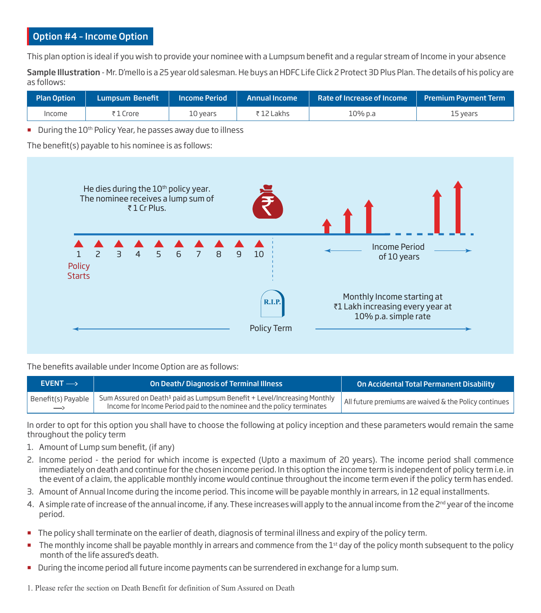# Option #4 – Income Option

This plan option is ideal if you wish to provide your nominee with a Lumpsum benefit and a regular stream of Income in your absence

Sample Illustration - Mr. D'mello is a 25 year old salesman. He buys an HDFC Life Click 2 Protect 3D Plus Plan. The details of his policy are as follows:

| <b>Plan Option</b> | Lumpsum Benefit ' | <b>Income Period</b> | <b>Annual Income</b> | Rate of Increase of Income   Premium Payment Term |          |
|--------------------|-------------------|----------------------|----------------------|---------------------------------------------------|----------|
| Income             | ₹1 Crore          | 10 vears             | ₹12 Lakhs            | 10% p.a                                           | 15 years |

During the 10<sup>th</sup> Policy Year, he passes away due to illness

The benefit(s) payable to his nominee is as follows:

![](_page_7_Figure_6.jpeg)

The benefits available under Income Option are as follows:

| $EVENT \rightarrow$     | On Death/Diagnosis of Terminal Illness                                                                                                                         | On Accidental Total Permanent Disability              |
|-------------------------|----------------------------------------------------------------------------------------------------------------------------------------------------------------|-------------------------------------------------------|
| Benefit(s) Payable<br>— | Sum Assured on Death <sup>1</sup> paid as Lumpsum Benefit + Level/Increasing Monthly<br>Income for Income Period paid to the nominee and the policy terminates | All future premiums are waived & the Policy continues |

In order to opt for this option you shall have to choose the following at policy inception and these parameters would remain the same throughout the policy term

- 1. Amount of Lump sum benefit, (if any)
- 2. Income period the period for which income is expected (Upto a maximum of 20 years). The income period shall commence immediately on death and continue for the chosen income period. In this option the income term is independent of policy term i.e. in the event of a claim, the applicable monthly income would continue throughout the income term even if the policy term has ended.
- 3. Amount of Annual Income during the income period. This income will be payable monthly in arrears, in 12 equal installments.
- 4. A simple rate of increase of the annual income, if any. These increases will apply to the annual income from the 2<sup>nd</sup> year of the income period.
- The policy shall terminate on the earlier of death, diagnosis of terminal illness and expiry of the policy term.
- The monthly income shall be payable monthly in arrears and commence from the 1<sup>st</sup> day of the policy month subsequent to the policy month of the life assured's death.
- **During the income period all future income payments can be surrendered in exchange for a lump sum.**
- 1. Please refer the section on Death Benefit for definition of Sum Assured on Death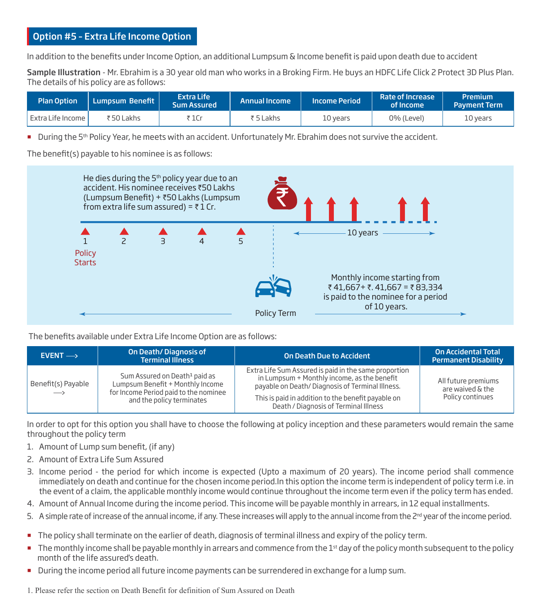# Option #5 – Extra Life Income Option

In addition to the benefits under Income Option, an additional Lumpsum & Income benefit is paid upon death due to accident

Sample Illustration - Mr. Ebrahim is a 30 year old man who works in a Broking Firm. He buys an HDFC Life Click 2 Protect 3D Plus Plan. The details of his policy are as follows:

| Plan Option       | <b>N</b> Lumpsum Benefit | Extra Life<br><b>Sum Assured</b> | <b>Annual Income</b> | <b>Income Period</b> | <b>Rate of Increase</b><br>of Income | Premium<br><b>Payment Term</b> |
|-------------------|--------------------------|----------------------------------|----------------------|----------------------|--------------------------------------|--------------------------------|
| Extra Life Income | ₹50 Lakhs                | ₹ 1Cr                            | ₹ 5 Lakhs            | 10 years             | 0% (Level)                           | 10 years                       |

During the 5<sup>th</sup> Policy Year, he meets with an accident. Unfortunately Mr. Ebrahim does not survive the accident.

The benefit(s) payable to his nominee is as follows:

![](_page_8_Figure_6.jpeg)

The benefits available under Extra Life Income Option are as follows:

| $EVENT \rightarrow$                 | On Death/Diagnosis of<br><b>Terminal Illness</b>                                                                                                    | <b>On Death Due to Accident</b>                                                                                                                                                                                                                        | <b>On Accidental Total</b><br><b>Permanent Disability</b>   |
|-------------------------------------|-----------------------------------------------------------------------------------------------------------------------------------------------------|--------------------------------------------------------------------------------------------------------------------------------------------------------------------------------------------------------------------------------------------------------|-------------------------------------------------------------|
| Benefit(s) Payable<br>$\rightarrow$ | Sum Assured on Death <sup>1</sup> paid as<br>Lumpsum Benefit + Monthly Income<br>for Income Period paid to the nominee<br>and the policy terminates | Extra Life Sum Assured is paid in the same proportion<br>in Lumpsum + Monthly income, as the benefit<br>payable on Death/Diagnosis of Terminal Illness.<br>This is paid in addition to the benefit payable on<br>Death / Diagnosis of Terminal Illness | All future premiums<br>are waived & the<br>Policy continues |

In order to opt for this option you shall have to choose the following at policy inception and these parameters would remain the same throughout the policy term

- 1. Amount of Lump sum benefit, (if any)
- 2 Amount of Extra Life Sum Assured
- 3. Income period the period for which income is expected (Upto a maximum of 20 years). The income period shall commence immediately on death and continue for the chosen income period.In this option the income term is independent of policy term i.e. in the event of a claim, the applicable monthly income would continue throughout the income term even if the policy term has ended.
- 4. Amount of Annual Income during the income period. This income will be payable monthly in arrears, in 12 equal installments.
- 5. A simple rate of increase of the annual income, if any. These increases will apply to the annual income from the  $2<sup>nd</sup>$  year of the income period.
- The policy shall terminate on the earlier of death, diagnosis of terminal illness and expiry of the policy term.
- The monthly income shall be payable monthly in arrears and commence from the 1<sup>st</sup> day of the policy month subsequent to the policy month of the life assured's death.
- **During the income period all future income payments can be surrendered in exchange for a lump sum.**

1. Please refer the section on Death Benefit for definition of Sum Assured on Death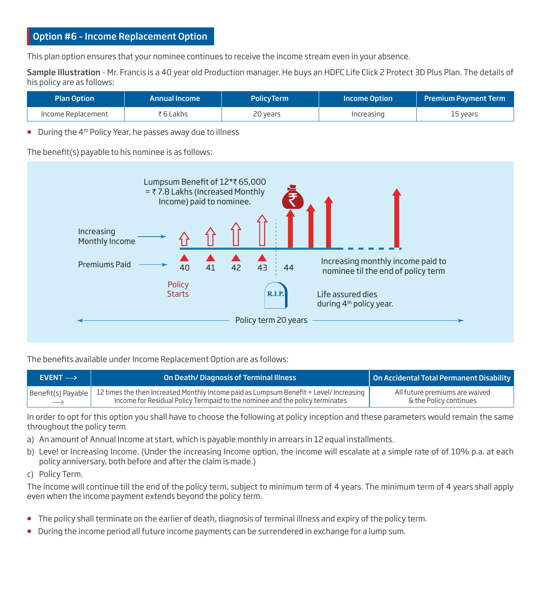# Option #6 – Income Replacement Option

This plan option ensures that your nominee continues to receive the income stream even in your absence.

Sample Illustration - Mr. Francis is a 40 year old Production manager. He buys an HDFC Life Click 2 Protect 3D Plus Plan. The details of his policy are as follows:

| <b>Plan Option</b> | <b>Annual Income</b> | <b>PolicyTerm</b> | Income Option | <b>Premium Payment Term</b> |
|--------------------|----------------------|-------------------|---------------|-----------------------------|
| Income Replacement | ₹6 Lakhs             | 20 years          | Increasing    | 15 vears                    |

 $\blacksquare$  During the 4<sup>th</sup> Policy Year, he passes away due to illness

The benefit(s) payable to his nominee is as follows:

![](_page_9_Figure_6.jpeg)

The benefits available under Income Replacement Option are as follows:

| $EVENT \rightarrow$ | On Death/Diagnosis of Terminal Illness                                                             | On Accidental Total Permanent Disability |
|---------------------|----------------------------------------------------------------------------------------------------|------------------------------------------|
| Benefit(s) Payable  | $\,$ 12 times the then Increased Monthly Income paid as Lumpsum Benefit + Level/ Increasing $\,$ l | All future premiums are waived           |
| $\longrightarrow$   | Income for Residual Policy Termpaid to the nominee and the policy terminates                       | & the Policy continues                   |

In order to opt for this option you shall have to choose the following at policy inception and these parameters would remain the same throughout the policy term

- a) An amount of Annual Income at start, which is payable monthly in arrears in 12 equal installments.
- b) Level or Increasing Income. (Under the increasing Income option, the income will escalate at a simple rate of of 10% p.a. at each policy anniversary, both before and after the claim is made.)
- c) Policy Term.

The income will continue till the end of the policy term, subject to minimum term of 4 years. The minimum term of 4 years shall apply even when the income payment extends beyond the policy term.

- The policy shall terminate on the earlier of death, diagnosis of terminal illness and expiry of the policy term.
- During the income period all future income payments can be surrendered in exchange for a lump sum.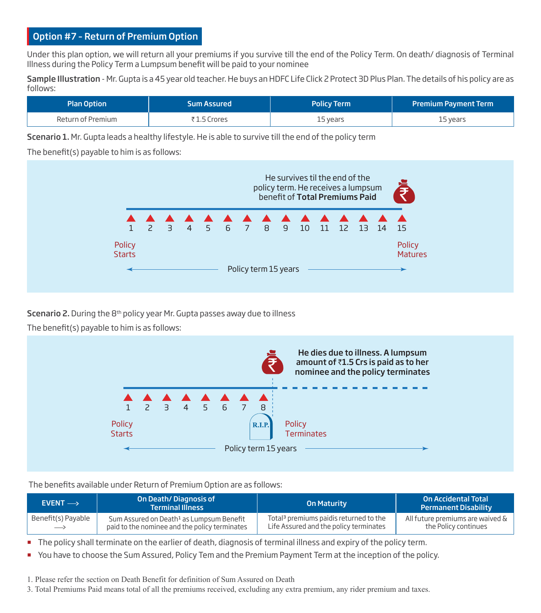# Option #7 – Return of Premium Option

Under this plan option, we will return all your premiums if you survive till the end of the Policy Term. On death/ diagnosis of Terminal Illness during the Policy Term a Lumpsum benefit will be paid to your nominee

Sample Illustration - Mr. Gupta is a 45 year old teacher. He buys an HDFC Life Click 2 Protect 3D Plus Plan. The details of his policy are as follows:

| <b>Plan Option</b> | 'Sum Assured . | <b>Policy Term</b> | <b>Premium Payment Term</b> |
|--------------------|----------------|--------------------|-----------------------------|
| Return of Premium  | ₹1.5 Crores    | 15 years           | 15 years                    |

Scenario 1. Mr. Gupta leads a healthy lifestyle. He is able to survive till the end of the policy term

#### The benefit(s) payable to him is as follows:

![](_page_10_Figure_6.jpeg)

Scenario 2. During the 8<sup>th</sup> policy year Mr. Gupta passes away due to illness

The benefit(s) payable to him is as follows:

![](_page_10_Figure_9.jpeg)

#### The benefits available under Return of Premium Option are as follows:

| $EVENT \rightarrow$ | On Death/Diagnosis of<br><b>Terminal Illness</b>     | <b>On Maturity</b>                                 | <b>On Accidental Total</b><br><b>Permanent Disability</b> |
|---------------------|------------------------------------------------------|----------------------------------------------------|-----------------------------------------------------------|
| Benefit(s) Payable  | Sum Assured on Death <sup>1</sup> as Lumpsum Benefit | Total <sup>3</sup> premiums paidis returned to the | All future premiums are waived $\&\;$                     |
| $\longrightarrow$   | paid to the nominee and the policy terminates        | Life Assured and the policy terminates             | the Policy continues                                      |

The policy shall terminate on the earlier of death, diagnosis of terminal illness and expiry of the policy term.

You have to choose the Sum Assured, Policy Tem and the Premium Payment Term at the inception of the policy.

1. Please refer the section on Death Benefit for definition of Sum Assured on Death

3. Total Premiums Paid means total of all the premiums received, excluding any extra premium, any rider premium and taxes.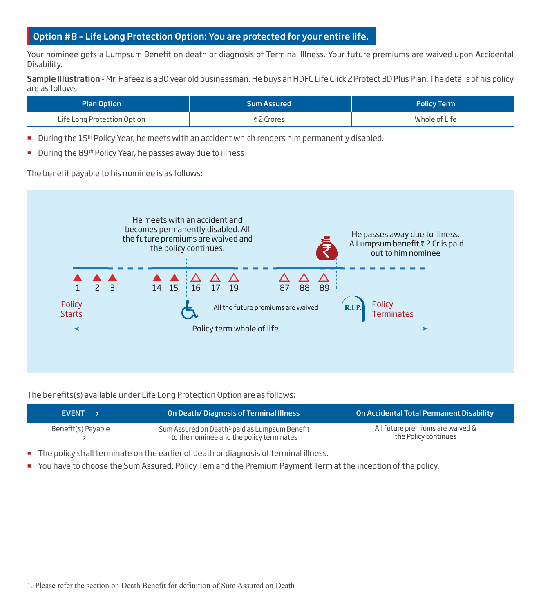# Option #8 – Life Long Protection Option: You are protected for your entire life.

Your nominee gets a Lumpsum Benefit on death or diagnosis of Terminal Illness. Your future premiums are waived upon Accidental Disability.

Sample Illustration - Mr. Hafeez is a 30 year old businessman. He buys an HDFC Life Click 2 Protect 3D Plus Plan. The details of his policy are as follows:

| <b>Plan Option</b>          | <b>Sum Assured</b> | <b>Policy Term</b> |
|-----------------------------|--------------------|--------------------|
| Life Long Protection Option | ₹2 Crores          | Whole of Life      |

- During the 15<sup>th</sup> Policy Year, he meets with an accident which renders him permanently disabled.
- During the 89<sup>th</sup> Policy Year, he passes away due to illness

The benefit payable to his nominee is as follows:

![](_page_11_Figure_7.jpeg)

The benefits(s) available under Life Long Protection Option are as follows:

| $EVENT \rightarrow$ | On Death/Diagnosis of Terminal Illness                    | On Accidental Total Permanent Disability |
|---------------------|-----------------------------------------------------------|------------------------------------------|
| Benefit(s) Payable  | Sum Assured on Death <sup>1</sup> paid as Lumpsum Benefit | All future premiums are waived &         |
| $\longrightarrow$   | to the nominee and the policy terminates                  | the Policy continues                     |

The policy shall terminate on the earlier of death or diagnosis of terminal illness.

You have to choose the Sum Assured, Policy Tem and the Premium Payment Term at the inception of the policy.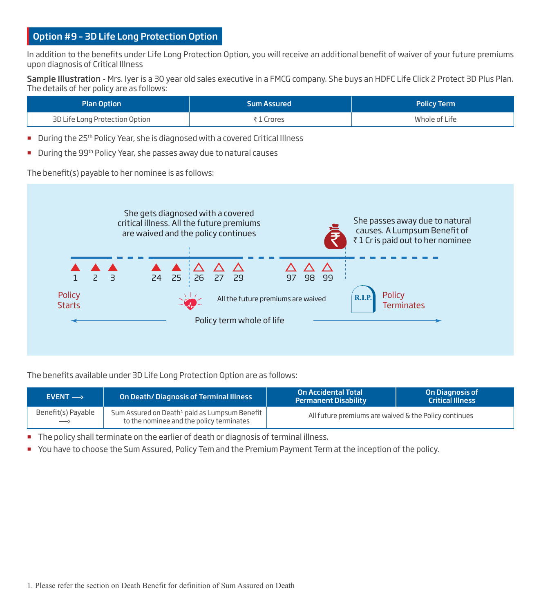# Option #9 – 3D Life Long Protection Option

In addition to the benefits under Life Long Protection Option, you will receive an additional benefit of waiver of your future premiums upon diagnosis of Critical Illness

Sample Illustration - Mrs. Iyer is a 30 year old sales executive in a FMCG company. She buys an HDFC Life Click 2 Protect 3D Plus Plan. The details of her policy are as follows:

| <b>Plan Option</b>             | <b>Sum Assured</b> | <b>Policy Term</b> |  |
|--------------------------------|--------------------|--------------------|--|
| 3D Life Long Protection Option | ₹1 Crores          | Whole of Life      |  |

- During the 25<sup>th</sup> Policy Year, she is diagnosed with a covered Critical Illness
- During the 99<sup>th</sup> Policy Year, she passes away due to natural causes

The benefit(s) payable to her nominee is as follows:

![](_page_12_Figure_7.jpeg)

The benefits available under 3D Life Long Protection Option are as follows:

| $EVENT \rightarrow$                     | On Death/Diagnosis of Terminal Illness                                                                | <b>On Accidental Total</b><br><b>Permanent Disability</b> | On Diagnosis of<br><b>Critical Illness</b> |
|-----------------------------------------|-------------------------------------------------------------------------------------------------------|-----------------------------------------------------------|--------------------------------------------|
| Benefit(s) Payable<br>$\longrightarrow$ | Sum Assured on Death <sup>1</sup> paid as Lumpsum Benefit<br>to the nominee and the policy terminates | All future premiums are waived & the Policy continues     |                                            |

The policy shall terminate on the earlier of death or diagnosis of terminal illness.

You have to choose the Sum Assured, Policy Tem and the Premium Payment Term at the inception of the policy.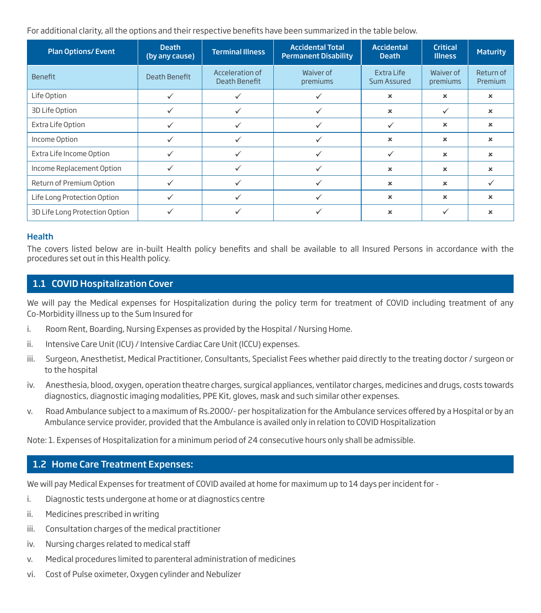For additional clarity, all the options and their respective benefits have been summarized in the table below.

| <b>Plan Options/Event</b>      | <b>Death</b><br>(by any cause) | <b>Terminal Illness</b>          | <b>Accidental Total</b><br><b>Permanent Disability</b> | <b>Accidental</b><br><b>Death</b> | <b>Critical</b><br><b>Illness</b> | <b>Maturity</b>             |
|--------------------------------|--------------------------------|----------------------------------|--------------------------------------------------------|-----------------------------------|-----------------------------------|-----------------------------|
| <b>Benefit</b>                 | Death Benefit                  | Acceleration of<br>Death Benefit | Waiver of<br>premiums                                  | Extra Life<br>Sum Assured         | Waiver of<br>premiums             | Return of<br><b>Premium</b> |
| Life Option                    |                                |                                  |                                                        | ×                                 | ×                                 | ×                           |
| 3D Life Option                 |                                | ✓                                |                                                        | $\boldsymbol{\mathsf{x}}$         | ✓                                 | $\boldsymbol{\mathsf{x}}$   |
| Extra Life Option              |                                | $\checkmark$                     |                                                        |                                   | ×                                 | ×                           |
| Income Option                  |                                | $\checkmark$                     |                                                        | ×                                 | ×                                 | $\boldsymbol{\mathsf{x}}$   |
| Extra Life Income Option       |                                | $\checkmark$                     |                                                        |                                   | ×                                 | $\boldsymbol{\mathsf{x}}$   |
| Income Replacement Option      |                                | $\checkmark$                     |                                                        | ×                                 | ×                                 | $\boldsymbol{\mathsf{x}}$   |
| Return of Premium Option       |                                |                                  |                                                        | ×                                 | ×                                 |                             |
| Life Long Protection Option    |                                |                                  |                                                        | ×                                 | ×                                 | ×                           |
| 3D Life Long Protection Option |                                |                                  |                                                        | ×                                 | ✓                                 | ×                           |

#### **Health**

The covers listed below are in-built Health policy benefits and shall be available to all Insured Persons in accordance with the procedures set out in this Health policy.

#### 1.1 COVID Hospitalization Cover

We will pay the Medical expenses for Hospitalization during the policy term for treatment of COVID including treatment of any Co-Morbidity illness up to the Sum Insured for

- i. Room Rent, Boarding, Nursing Expenses as provided by the Hospital / Nursing Home.
- ii. Intensive Care Unit (ICU) / Intensive Cardiac Care Unit (ICCU) expenses.
- iii. Surgeon, Anesthetist, Medical Practitioner, Consultants, Specialist Fees whether paid directly to the treating doctor / surgeon or to the hospital
- iv. Anesthesia, blood, oxygen, operation theatre charges, surgical appliances, ventilator charges, medicines and drugs, costs towards diagnostics, diagnostic imaging modalities, PPE Kit, gloves, mask and such similar other expenses.
- v. Road Ambulance subject to a maximum of Rs.2000/- per hospitalization for the Ambulance services offered by a Hospital or by an Ambulance service provider, provided that the Ambulance is availed only in relation to COVID Hospitalization

Note: 1. Expenses of Hospitalization for a minimum period of 24 consecutive hours only shall be admissible.

#### 1.2 Home Care Treatment Expenses:

We will pay Medical Expenses for treatment of COVID availed at home for maximum up to 14 days per incident for -

- i. Diagnostic tests undergone at home or at diagnostics centre
- ii. Medicines prescribed in writing
- iii. Consultation charges of the medical practitioner
- iv. Nursing charges related to medical staff
- v. Medical procedures limited to parenteral administration of medicines
- vi. Cost of Pulse oximeter, Oxygen cylinder and Nebulizer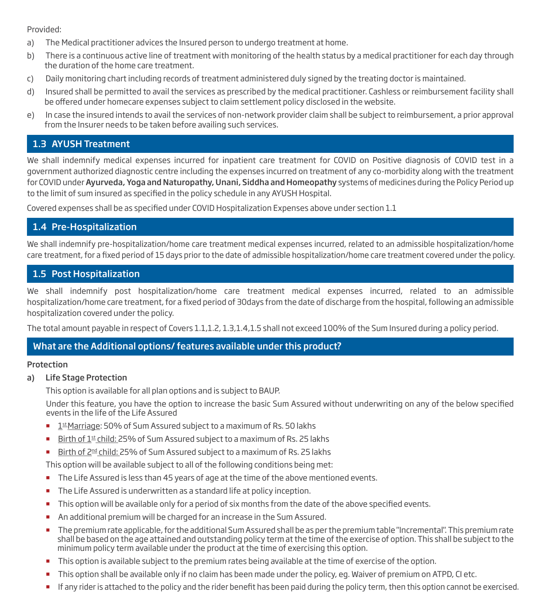Provided:

- a) The Medical practitioner advices the Insured person to undergo treatment at home.
- b) There is a continuous active line of treatment with monitoring of the health status by a medical practitioner for each day through the duration of the home care treatment.
- c) Daily monitoring chart including records of treatment administered duly signed by the treating doctor is maintained.
- d) Insured shall be permitted to avail the services as prescribed by the medical practitioner. Cashless or reimbursement facility shall be offered under homecare expenses subject to claim settlement policy disclosed in the website.
- e) In case the insured intends to avail the services of non-network provider claim shall be subject to reimbursement, a prior approval from the Insurer needs to be taken before availing such services.

#### 1.3 AYUSH Treatment

We shall indemnify medical expenses incurred for inpatient care treatment for COVID on Positive diagnosis of COVID test in a government authorized diagnostic centre including the expenses incurred on treatment of any co-morbidity along with the treatment for COVID under Ayurveda, Yoga and Naturopathy, Unani, Siddha and Homeopathy systems of medicines during the Policy Period up to the limit of sum insured as specified in the policy schedule in any AYUSH Hospital.

Covered expenses shall be as specified under COVID Hospitalization Expenses above under section 1.1

#### 1.4 Pre-Hospitalization

We shall indemnify pre-hospitalization/home care treatment medical expenses incurred, related to an admissible hospitalization/home care treatment, for a fixed period of 15 days prior to the date of admissible hospitalization/home care treatment covered under the policy.

#### 1.5 Post Hospitalization

We shall indemnify post hospitalization/home care treatment medical expenses incurred, related to an admissible hospitalization/home care treatment, for a fixed period of 30days from the date of discharge from the hospital, following an admissible hospitalization covered under the policy.

The total amount payable in respect of Covers 1.1,1.2, 1.3,1.4,1.5 shall not exceed 100% of the Sum Insured during a policy period.

#### What are the Additional options/ features available under this product?

#### Protection

a) Life Stage Protection

This option is available for all plan options and is subject to BAUP.

Under this feature, you have the option to increase the basic Sum Assured without underwriting on any of the below specified events in the life of the Life Assured

- $1$ <sup>st</sup> Marriage: 50% of Sum Assured subject to a maximum of Rs. 50 lakhs
- Birth of  $1<sup>st</sup>$  child: 25% of Sum Assured subject to a maximum of Rs. 25 lakhs
- Birth of 2<sup>nd</sup> child: 25% of Sum Assured subject to a maximum of Rs. 25 lakhs

This option will be available subject to all of the following conditions being met:

- The Life Assured is less than 45 years of age at the time of the above mentioned events.
- **The Life Assured is underwritten as a standard life at policy inception.**
- This option will be available only for a period of six months from the date of the above specified events.
- An additional premium will be charged for an increase in the Sum Assured.
- The premium rate applicable, for the additional Sum Assured shall be as per the premium table "Incremental". This premium rate shall be based on the age attained and outstanding policy term at the time of the exercise of option. This shall be subject to the minimum policy term available under the product at the time of exercising this option.
- This option is available subject to the premium rates being available at the time of exercise of the option.
- This option shall be available only if no claim has been made under the policy, eg. Waiver of premium on ATPD, CI etc.
- If any rider is attached to the policy and the rider benefit has been paid during the policy term, then this option cannot be exercised.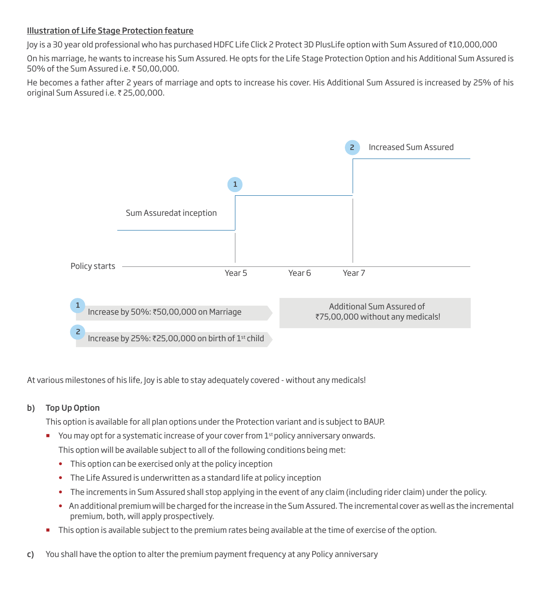#### Illustration of Life Stage Protection feature

Joy is a 30 year old professional who has purchased HDFC Life Click 2 Protect 3D PlusLife option with Sum Assured of `10,000,000

On his marriage, he wants to increase his Sum Assured. He opts for the Life Stage Protection Option and his Additional Sum Assured is 50% of the Sum Assured i.e.  $\bar{z}$  50,00,000.

He becomes a father after 2 years of marriage and opts to increase his cover. His Additional Sum Assured is increased by 25% of his original Sum Assured i.e. ₹ 25,00,000.

![](_page_15_Figure_4.jpeg)

At various milestones of his life, Joy is able to stay adequately covered - without any medicals!

#### b) Top Up Option

This option is available for all plan options under the Protection variant and is subject to BAUP.

- You may opt for a systematic increase of your cover from  $1<sup>st</sup>$  policy anniversary onwards. This option will be available subject to all of the following conditions being met:
	- This option can be exercised only at the policy inception
	- The Life Assured is underwritten as a standard life at policy inception
	- The increments in Sum Assured shall stop applying in the event of any claim (including rider claim) under the policy.
	- An additional premium will be charged for the increase in the Sum Assured. The incremental cover as well as the incremental premium, both, will apply prospectively.
- This option is available subject to the premium rates being available at the time of exercise of the option.
- c) You shall have the option to alter the premium payment frequency at any Policy anniversary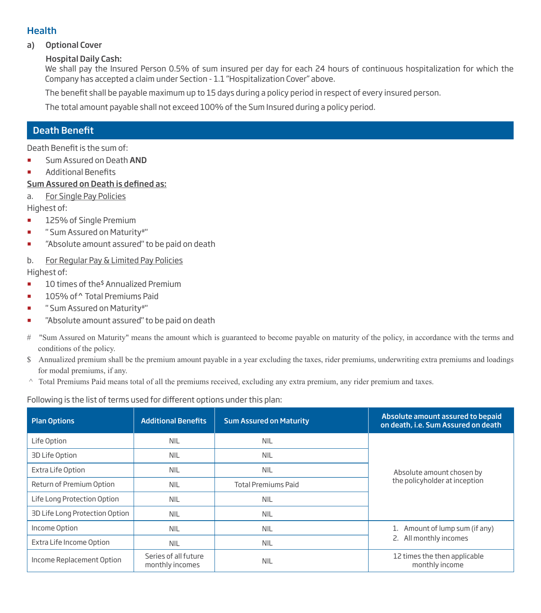#### Health

#### a) Optional Cover

#### Hospital Daily Cash:

We shall pay the Insured Person 0.5% of sum insured per day for each 24 hours of continuous hospitalization for which the Company has accepted a claim under Section - 1.1 "Hospitalization Cover" above.

The benefit shall be payable maximum up to 15 days during a policy period in respect of every insured person.

The total amount payable shall not exceed 100% of the Sum Insured during a policy period.

# **Death Benefit**

Death Benefit is the sum of:

- Sum Assured on Death AND
- **Additional Benefits**

#### Sum Assured on Death is defined as:

a. For Single Pay Policies

Highest of:

- 125% of Single Premium
- **E** "Sum Assured on Maturity#"
- **EXEC** "Absolute amount assured" to be paid on death
- b. For Regular Pay & Limited Pay Policies

Highest of:

- $\blacksquare$  10 times of the<sup>\$</sup> Annualized Premium
- 105% of ^ Total Premiums Paid
- **E** "Sum Assured on Maturity#"
- " "Absolute amount assured" to be paid on death
- # "Sum Assured on Maturity" means the amount which is guaranteed to become payable on maturity of the policy, in accordance with the terms and conditions of the policy.
- \$ Annualized premium shall be the premium amount payable in a year excluding the taxes, rider premiums, underwriting extra premiums and loadings for modal premiums, if any.
- ^ Total Premiums Paid means total of all the premiums received, excluding any extra premium, any rider premium and taxes.

Following is the list of terms used for different options under this plan:

| <b>Plan Options</b>            | <b>Additional Benefits</b>              | <b>Sum Assured on Maturity</b> | Absolute amount assured to bepaid<br>on death, i.e. Sum Assured on death |  |
|--------------------------------|-----------------------------------------|--------------------------------|--------------------------------------------------------------------------|--|
| Life Option                    | <b>NIL</b>                              | <b>NIL</b>                     |                                                                          |  |
| 3D Life Option                 | <b>NIL</b>                              | <b>NIL</b>                     |                                                                          |  |
| Extra Life Option              | <b>NIL</b>                              | <b>NIL</b>                     | Absolute amount chosen by                                                |  |
| Return of Premium Option       | <b>NIL</b>                              | <b>Total Premiums Paid</b>     | the policyholder at inception                                            |  |
| Life Long Protection Option    | <b>NIL</b>                              | <b>NIL</b>                     |                                                                          |  |
| 3D Life Long Protection Option | <b>NIL</b>                              | <b>NIL</b>                     |                                                                          |  |
| Income Option                  | <b>NIL</b>                              | <b>NIL</b>                     | Amount of lump sum (if any)<br>1.                                        |  |
| Extra Life Income Option       | <b>NIL</b>                              | <b>NIL</b>                     | 2. All monthly incomes                                                   |  |
| Income Replacement Option      | Series of all future<br>monthly incomes | <b>NIL</b>                     | 12 times the then applicable<br>monthly income                           |  |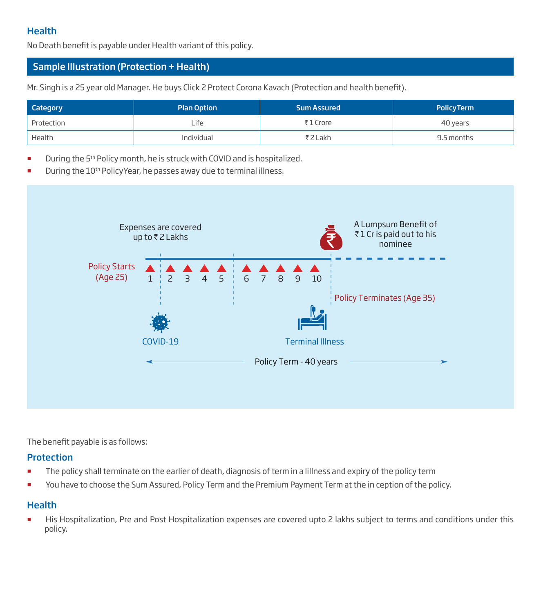# **Health**

No Death benefit is payable under Health variant of this policy.

# Sample Illustration (Protection + Health)

Mr. Singh is a 25 year old Manager. He buys Click 2 Protect Corona Kavach (Protection and health benefit).

| <b>Category</b> | <b>Plan Option</b> | <b>Sum Assured</b> | <b>PolicyTerm</b> |
|-----------------|--------------------|--------------------|-------------------|
| Protection      | Life               | ₹1 Crore           | 40 years          |
| Health          | Individual         | ₹2 Lakh            | 9.5 months        |

- During the 5th Policy month, he is struck with COVID and is hospitalized.
- During the 10<sup>th</sup> PolicyYear, he passes away due to terminal illness.

![](_page_17_Figure_7.jpeg)

The benefit payable is as follows:

#### **Protection**

- **The policy shall terminate on the earlier of death, diagnosis of term in a lillness and expiry of the policy term**
- You have to choose the Sum Assured, Policy Term and the Premium Payment Term at the in ception of the policy.

#### **Health**

 His Hospitalization, Pre and Post Hospitalization expenses are covered upto 2 lakhs subject to terms and conditions under this policy.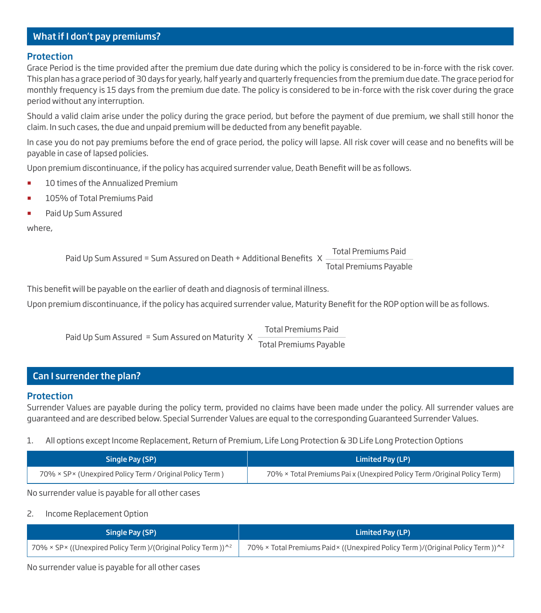# What if I don't pay premiums?

#### **Protection**

Grace Period is the time provided after the premium due date during which the policy is considered to be in-force with the risk cover. This plan has a grace period of 30 days for yearly, half yearly and quarterly frequencies from the premium due date. The grace period for monthly frequency is 15 days from the premium due date. The policy is considered to be in-force with the risk cover during the grace period without any interruption.

Should a valid claim arise under the policy during the grace period, but before the payment of due premium, we shall still honor the claim. In such cases, the due and unpaid premium will be deducted from any benefit payable.

In case you do not pay premiums before the end of grace period, the policy will lapse. All risk cover will cease and no benefits will be payable in case of lapsed policies.

Upon premium discontinuance, if the policy has acquired surrender value, Death Benefit will be as follows.

- 10 times of the Annualized Premium
- 105% of Total Premiums Paid
- Paid Up Sum Assured

where,

Paid Up Sum Assured = Sum Assured on Death + Additional Benefits  $X =$ Total Premiums Paid Total Premiums Payable

This benefit will be payable on the earlier of death and diagnosis of terminal illness.

Upon premium discontinuance, if the policy has acquired surrender value, Maturity Benefit for the ROP option will be as follows.

Paid Up Sum Assured = Sum Assured on Maturity X Total Premiums Paid

Total Premiums Payable

# Can I surrender the plan?

#### Protection

Surrender Values are payable during the policy term, provided no claims have been made under the policy. All surrender values are guaranteed and are described below. Special Surrender Values are equal to the corresponding Guaranteed Surrender Values.

#### 1. All options except Income Replacement, Return of Premium, Life Long Protection & 3D Life Long Protection Options

| Single Pay (SP)                                           | Limited Pay (LP)                                                          |
|-----------------------------------------------------------|---------------------------------------------------------------------------|
| 70% × SP × (Unexpired Policy Term / Original Policy Term) | 70% × Total Premiums Pai x (Unexpired Policy Term / Original Policy Term) |

No surrender value is payable for all other cases

#### 2. Income Replacement Option

| Single Pay (SP)                                                            | Limited Pay (LP)                                                               |
|----------------------------------------------------------------------------|--------------------------------------------------------------------------------|
| 70% × SP× ((Unexpired Policy Term )/(Original Policy Term )) <sup>^2</sup> | 70% × Total Premiums Paid × ((Unexpired Policy Term)/(Original Policy Term))^2 |

No surrender value is payable for all other cases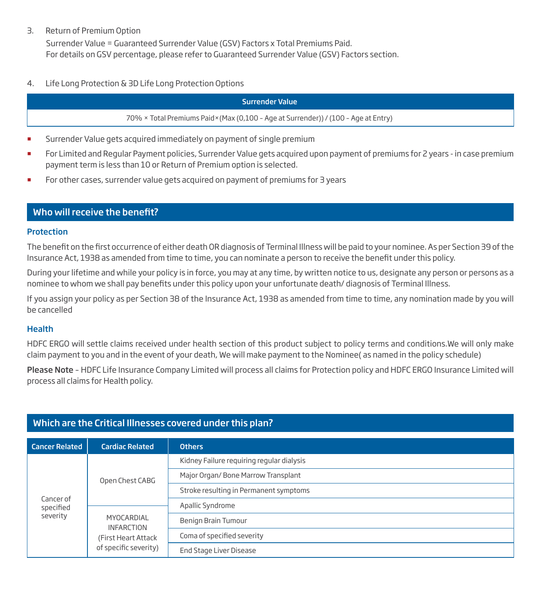#### 3. Return of Premium Option

Surrender Value = Guaranteed Surrender Value (GSV) Factors x Total Premiums Paid. For details on GSV percentage, please refer to Guaranteed Surrender Value (GSV) Factors section.

4. Life Long Protection & 3D Life Long Protection Options

#### Surrender Value

70% × Total Premiums Paid×(Max (0,100 – Age at Surrender)) / (100 – Age at Entry)

- Surrender Value gets acquired immediately on payment of single premium
- For Limited and Regular Payment policies, Surrender Value gets acquired upon payment of premiums for 2 years in case premium payment term is less than 10 or Return of Premium option is selected.
- For other cases, surrender value gets acquired on payment of premiums for 3 years

#### Who will receive the benefit?

#### **Protection**

The benefit on the first occurrence of either death OR diagnosis of Terminal Illness will be paid to your nominee. As per Section 39 of the Insurance Act, 1938 as amended from time to time, you can nominate a person to receive the benefit under this policy.

During your lifetime and while your policy is in force, you may at any time, by written notice to us, designate any person or persons as a nominee to whom we shall pay benefits under this policy upon your unfortunate death/diagnosis of Terminal Illness.

If you assign your policy as per Section 38 of the Insurance Act, 1938 as amended from time to time, any nomination made by you will be cancelled

#### **Health**

HDFC ERGO will settle claims received under health section of this product subject to policy terms and conditions.We will only make claim payment to you and in the event of your death, We will make payment to the Nominee( as named in the policy schedule)

Please Note - HDFC Life Insurance Company Limited will process all claims for Protection policy and HDFC ERGO Insurance Limited will process all claims for Health policy.

| <b>Cancer Related</b>              | <b>Cardiac Related</b>                                 | <b>Others</b>                             |
|------------------------------------|--------------------------------------------------------|-------------------------------------------|
| Cancer of<br>specified<br>severity |                                                        | Kidney Failure requiring regular dialysis |
|                                    | Open Chest CABG                                        | Major Organ/ Bone Marrow Transplant       |
|                                    |                                                        | Stroke resulting in Permanent symptoms    |
|                                    |                                                        | Apallic Syndrome                          |
|                                    | MYOCARDIAL<br><b>INFARCTION</b><br>(First Heart Attack | Benign Brain Tumour                       |
|                                    |                                                        | Coma of specified severity                |
|                                    | of specific severity)                                  | End Stage Liver Disease                   |

#### Which are the Critical Illnesses covered under this plan?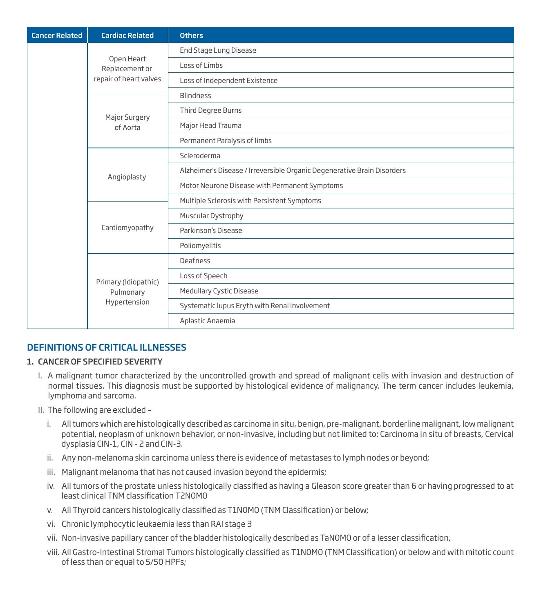| <b>Cancer Related</b> | <b>Cardiac Related</b>       | <b>Others</b>                                                           |  |  |  |  |  |  |
|-----------------------|------------------------------|-------------------------------------------------------------------------|--|--|--|--|--|--|
|                       |                              | End Stage Lung Disease                                                  |  |  |  |  |  |  |
|                       | Open Heart<br>Replacement or | Loss of Limbs                                                           |  |  |  |  |  |  |
|                       | repair of heart valves       | Loss of Independent Existence                                           |  |  |  |  |  |  |
|                       |                              | <b>Blindness</b>                                                        |  |  |  |  |  |  |
|                       | Major Surgery                | Third Degree Burns                                                      |  |  |  |  |  |  |
|                       | of Aorta                     | Major Head Trauma                                                       |  |  |  |  |  |  |
|                       |                              | Permanent Paralysis of limbs                                            |  |  |  |  |  |  |
|                       |                              | Scleroderma                                                             |  |  |  |  |  |  |
|                       | Angioplasty                  | Alzheimer's Disease / Irreversible Organic Degenerative Brain Disorders |  |  |  |  |  |  |
|                       |                              | Motor Neurone Disease with Permanent Symptoms                           |  |  |  |  |  |  |
|                       |                              | Multiple Sclerosis with Persistent Symptoms                             |  |  |  |  |  |  |
|                       |                              | Muscular Dystrophy                                                      |  |  |  |  |  |  |
|                       | Cardiomyopathy               | Parkinson's Disease                                                     |  |  |  |  |  |  |
|                       |                              | Poliomyelitis                                                           |  |  |  |  |  |  |
|                       |                              | Deafness                                                                |  |  |  |  |  |  |
|                       | Primary (Idiopathic)         | Loss of Speech                                                          |  |  |  |  |  |  |
|                       | Pulmonary                    | Medullary Cystic Disease                                                |  |  |  |  |  |  |
|                       | Hypertension                 | Systematic lupus Eryth with Renal Involvement                           |  |  |  |  |  |  |
|                       |                              | Aplastic Anaemia                                                        |  |  |  |  |  |  |

# DEFINITIONS OF CRITICAL ILLNESSES

#### 1. CANCER OF SPECIFIED SEVERITY

- I. A malignant tumor characterized by the uncontrolled growth and spread of malignant cells with invasion and destruction of normal tissues. This diagnosis must be supported by histological evidence of malignancy. The term cancer includes leukemia, lymphoma and sarcoma.
- II. The following are excluded
	- i. All tumors which are histologically described as carcinoma in situ, benign, pre-malignant, borderline malignant, low malignant potential, neoplasm of unknown behavior, or non-invasive, including but not limited to: Carcinoma in situ of breasts, Cervical dysplasia CIN-1, CIN - 2 and CIN-3.
	- ii. Any non-melanoma skin carcinoma unless there is evidence of metastases to lymph nodes or beyond;
	- iii. Malignant melanoma that has not caused invasion beyond the epidermis;
	- iv. All tumors of the prostate unless histologically classified as having a Gleason score greater than 6 or having progressed to at least clinical TNM classification T2N0M0
	- v. All Thyroid cancers histologically classified as T1NOMO (TNM Classification) or below;
	- vi. Chronic lymphocytic leukaemia less than RAI stage 3
	- vii. Non-invasive papillary cancer of the bladder histologically described as TaNOMO or of a lesser classification,
	- viii. All Gastro-Intestinal Stromal Tumors histologically classified as T1N0M0 (TNM Classification) or below and with mitotic count of less than or equal to 5/50 HPFs;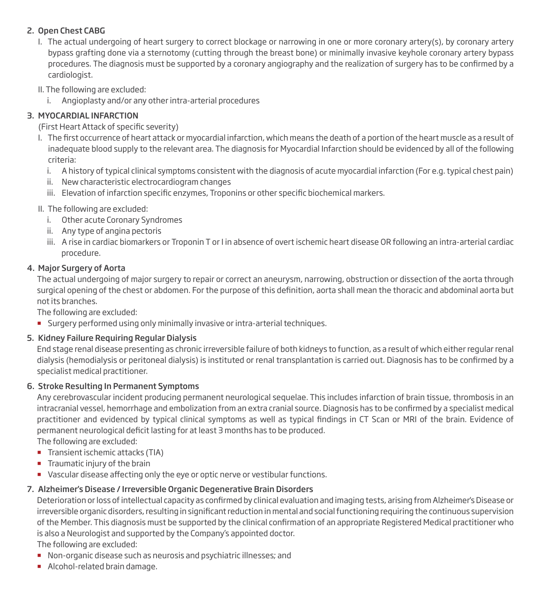#### 2. Open Chest CABG

- I. The actual undergoing of heart surgery to correct blockage or narrowing in one or more coronary artery(s), by coronary artery bypass grafting done via a sternotomy (cutting through the breast bone) or minimally invasive keyhole coronary artery bypass procedures. The diagnosis must be supported by a coronary angiography and the realization of surgery has to be confirmed by a cardiologist.
- II. The following are excluded:
	- i. Angioplasty and/or any other intra-arterial procedures

#### 3. MYOCARDIAL INFARCTION

#### (First Heart Attack of specific severity)

- I. The first occurrence of heart attack or myocardial infarction, which means the death of a portion of the heart muscle as a result of inadequate blood supply to the relevant area. The diagnosis for Myocardial Infarction should be evidenced by all of the following criteria:
	- i. A history of typical clinical symptoms consistent with the diagnosis of acute myocardial infarction (For e.g. typical chest pain)
	- ii. New characteristic electrocardiogram changes
	- iii. Elevation of infarction specific enzymes, Troponins or other specific biochemical markers.

#### II. The following are excluded:

- i. Other acute Coronary Syndromes
- ii. Any type of angina pectoris
- iii. A rise in cardiac biomarkers or Troponin T or I in absence of overt ischemic heart disease OR following an intra-arterial cardiac procedure.

#### 4. Major Surgery of Aorta

The actual undergoing of major surgery to repair or correct an aneurysm, narrowing, obstruction or dissection of the aorta through surgical opening of the chest or abdomen. For the purpose of this definition, aorta shall mean the thoracic and abdominal aorta but not its branches.

The following are excluded:

**Surgery performed using only minimally invasive or intra-arterial techniques.** 

#### 5. Kidney Failure Requiring Regular Dialysis

End stage renal disease presenting as chronic irreversible failure of both kidneys to function, as a result of which either regular renal dialysis (hemodialysis or peritoneal dialysis) is instituted or renal transplantation is carried out. Diagnosis has to be confirmed by a specialist medical practitioner.

#### 6. Stroke Resulting In Permanent Symptoms

Any cerebrovascular incident producing permanent neurological sequelae. This includes infarction of brain tissue, thrombosis in an intracranial vessel, hemorrhage and embolization from an extra cranial source. Diagnosis has to be confirmed by a specialist medical practitioner and evidenced by typical clinical symptoms as well as typical findings in CT Scan or MRI of the brain. Evidence of permanent neurological deficit lasting for at least 3 months has to be produced.

The following are excluded:

- **Transient ischemic attacks (TIA)**
- **Traumatic injury of the brain**
- vascular disease affecting only the eye or optic nerve or vestibular functions.

#### 7. Alzheimer's Disease / Irreversible Organic Degenerative Brain Disorders

Deterioration or loss of intellectual capacity as confirmed by clinical evaluation and imaging tests, arising from Alzheimer's Disease or irreversible organic disorders, resulting in significant reduction in mental and social functioning requiring the continuous supervision of the Member. This diagnosis must be supported by the clinical confirmation of an appropriate Registered Medical practitioner who is also a Neurologist and supported by the Company's appointed doctor.

The following are excluded:

- Non-organic disease such as neurosis and psychiatric illnesses; and
- Alcohol-related brain damage.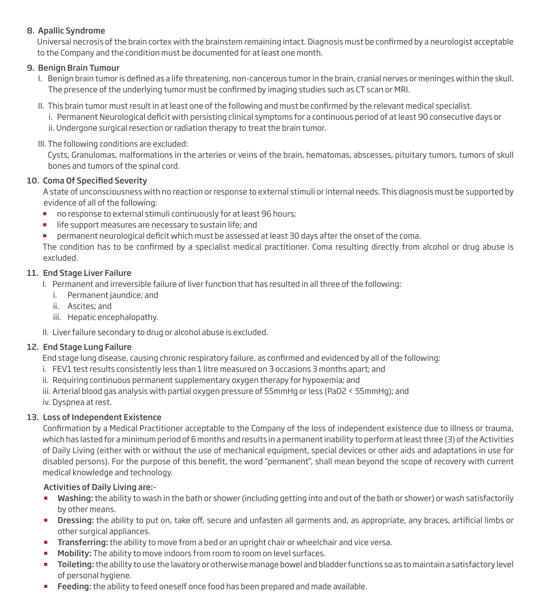#### 8. Apallic Syndrome

Universal necrosis of the brain cortex with the brainstem remaining intact. Diagnosis must be confirmed by a neurologist acceptable to the Company and the condition must be documented for at least one month.

#### 9. Benign Brain Tumour

- I. Benign brain tumor is defined as a life threatening, non-cancerous tumor in the brain, cranial nerves or meninges within the skull. The presence of the underlying tumor must be confirmed by imaging studies such as CT scan or MRI.
- II. This brain tumor must result in at least one of the following and must be confirmed by the relevant medical specialist.

i. Permanent Neurological deficit with persisting clinical symptoms for a continuous period of at least 90 consecutive days or ii. Undergone surgical resection or radiation therapy to treat the brain tumor.

III. The following conditions are excluded:

 Cysts, Granulomas, malformations in the arteries or veins of the brain, hematomas, abscesses, pituitary tumors, tumors of skull bones and tumors of the spinal cord.

#### 10. Coma Of Specified Severity

 A state of unconsciousness with no reaction or response to external stimuli or internal needs. This diagnosis must be supported by evidence of all of the following:

- no response to external stimuli continuously for at least 96 hours;
- **If life support measures are necessary to sustain life; and**
- **Permanent neurological deficit which must be assessed at least 30 days after the onset of the coma.**

The condition has to be confirmed by a specialist medical practitioner. Coma resulting directly from alcohol or drug abuse is excluded.

#### 11. End Stage Liver Failure

I. Permanent and irreversible failure of liver function that has resulted in all three of the following:

- i. Permanent jaundice; and
- ii. Ascites; and
- iii. Hepatic encephalopathy.

II. Liver failure secondary to drug or alcohol abuse is excluded.

#### 12. End Stage Lung Failure

End stage lung disease, causing chronic respiratory failure, as confirmed and evidenced by all of the following:

- i. FEV1 test results consistently less than 1 litre measured on 3 occasions 3 months apart; and
- ii. Requiring continuous permanent supplementary oxygen therapy for hypoxemia; and

iii. Arterial blood gas analysis with partial oxygen pressure of 55mmHg or less (PaO2 < 55mmHg); and

iv. Dyspnea at rest.

#### 13. Loss of Independent Existence

Confirmation by a Medical Practitioner acceptable to the Company of the loss of independent existence due to illness or trauma, which has lasted for a minimum period of 6 months and results in a permanent inability to perform at least three (3) of the Activities of Daily Living (either with or without the use of mechanical equipment, special devices or other aids and adaptations in use for disabled persons). For the purpose of this benefit, the word "permanent", shall mean beyond the scope of recovery with current medical knowledge and technology.

#### Activities of Daily Living are:-

- Washing: the ability to wash in the bath or shower (including getting into and out of the bath or shower) or wash satisfactorily by other means.
- Dressing: the ability to put on, take off, secure and unfasten all garments and, as appropriate, any braces, artificial limbs or other surgical appliances.
- **Transferring:** the ability to move from a bed or an upright chair or wheelchair and vice versa.
- Mobility: The ability to move indoors from room to room on level surfaces.
- **Toileting:** the ability to use the lavatory or otherwise manage bowel and bladder functions so as to maintain a satisfactory level of personal hygiene.
- Feeding: the ability to feed oneself once food has been prepared and made available.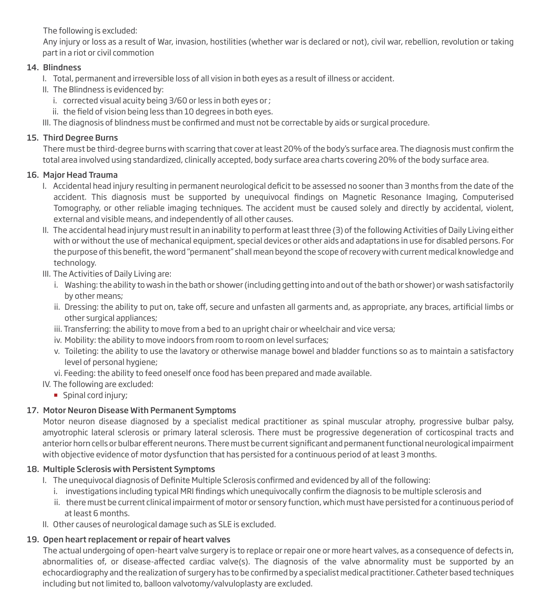The following is excluded:

Any injury or loss as a result of War, invasion, hostilities (whether war is declared or not), civil war, rebellion, revolution or taking part in a riot or civil commotion

# 14. Blindness

- I. Total, permanent and irreversible loss of all vision in both eyes as a result of illness or accident.
- II. The Blindness is evidenced by:
	- i. corrected visual acuity being 3/60 or less in both eyes or ;
	- ii. the field of vision being less than 10 degrees in both eyes.
- III. The diagnosis of blindness must be confirmed and must not be correctable by aids or surgical procedure.

# 15. Third Degree Burns

There must be third-degree burns with scarring that cover at least 20% of the body's surface area. The diagnosis must confirm the total area involved using standardized, clinically accepted, body surface area charts covering 20% of the body surface area.

# 16. Major Head Trauma

- I. Accidental head injury resulting in permanent neurological deficit to be assessed no sooner than 3 months from the date of the accident. This diagnosis must be supported by unequivocal findings on Magnetic Resonance Imaging, Computerised Tomography, or other reliable imaging techniques. The accident must be caused solely and directly by accidental, violent, external and visible means, and independently of all other causes.
- II. The accidental head injury must result in an inability to perform at least three (3) of the following Activities of Daily Living either with or without the use of mechanical equipment, special devices or other aids and adaptations in use for disabled persons. For the purpose of this benefit, the word "permanent" shall mean beyond the scope of recovery with current medical knowledge and technology.
- III. The Activities of Daily Living are:
	- i. Washing: the ability to wash in the bath or shower (including getting into and out of the bath or shower) or wash satisfactorily by other means;
	- ii. Dressing: the ability to put on, take off, secure and unfasten all garments and, as appropriate, any braces, artificial limbs or other surgical appliances;
	- iii. Transferring: the ability to move from a bed to an upright chair or wheelchair and vice versa;
	- iv. Mobility: the ability to move indoors from room to room on level surfaces;
	- v. Toileting: the ability to use the lavatory or otherwise manage bowel and bladder functions so as to maintain a satisfactory level of personal hygiene;
	- vi. Feeding: the ability to feed oneself once food has been prepared and made available.
- IV. The following are excluded:
	- Spinal cord injury;

# 17. Motor Neuron Disease With Permanent Symptoms

Motor neuron disease diagnosed by a specialist medical practitioner as spinal muscular atrophy, progressive bulbar palsy, amyotrophic lateral sclerosis or primary lateral sclerosis. There must be progressive degeneration of corticospinal tracts and anterior horn cells or bulbar efferent neurons. There must be current significant and permanent functional neurological impairment with objective evidence of motor dysfunction that has persisted for a continuous period of at least 3 months.

# 18. Multiple Sclerosis with Persistent Symptoms

- I. The unequivocal diagnosis of Definite Multiple Sclerosis confirmed and evidenced by all of the following:
	- i. investigations including typical MRI findings which unequivocally confirm the diagnosis to be multiple sclerosis and
	- ii. there must be current clinical impairment of motor or sensory function, which must have persisted for a continuous period of at least 6 months.
- II. Other causes of neurological damage such as SLE is excluded.

# 19. Open heart replacement or repair of heart valves

The actual undergoing of open-heart valve surgery is to replace or repair one or more heart valves, as a consequence of defects in, abnormalities of, or disease-affected cardiac valve(s). The diagnosis of the valve abnormality must be supported by an echocardiography and the realization of surgery has to be confirmed by a specialist medical practitioner. Catheter based techniques including but not limited to, balloon valvotomy/valvuloplasty are excluded.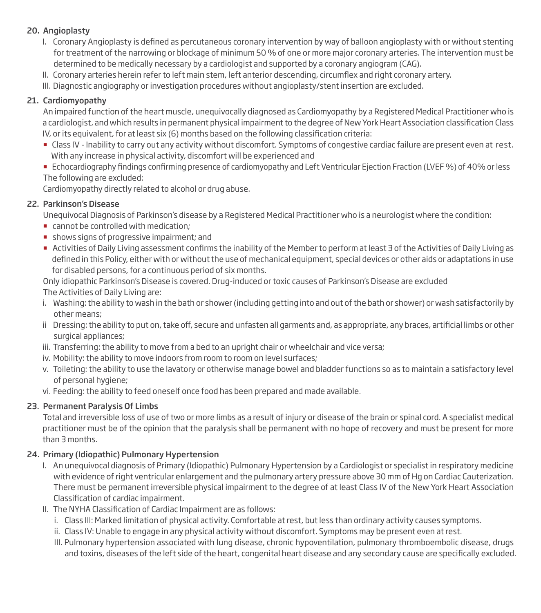#### 20. Angioplasty

- I. Coronary Angioplasty is defined as percutaneous coronary intervention by way of balloon angioplasty with or without stenting for treatment of the narrowing or blockage of minimum 50 % of one or more major coronary arteries. The intervention must be determined to be medically necessary by a cardiologist and supported by a coronary angiogram (CAG).
- II. Coronary arteries herein refer to left main stem, left anterior descending, circumflex and right coronary artery.
- III. Diagnostic angiography or investigation procedures without angioplasty/stent insertion are excluded.

# 21. Cardiomyopathy

An impaired function of the heart muscle, unequivocally diagnosed as Cardiomyopathy by a Registered Medical Practitioner who is a cardiologist, and which results in permanent physical impairment to the degree of New York Heart Association classification Class IV, or its equivalent, for at least six (6) months based on the following classification criteria:

- Class IV Inability to carry out any activity without discomfort. Symptoms of congestive cardiac failure are present even at rest. With any increase in physical activity, discomfort will be experienced and
- **Echocardiography findings confirming presence of cardiomyopathy and Left Ventricular Ejection Fraction (LVEF %) of 40% or less** The following are excluded:

Cardiomyopathy directly related to alcohol or drug abuse.

# 22. Parkinson's Disease

Unequivocal Diagnosis of Parkinson's disease by a Registered Medical Practitioner who is a neurologist where the condition:

- cannot be controlled with medication;
- **shows signs of progressive impairment; and**
- Activities of Daily Living assessment conrms the inability of the Member to perform at least 3 of the Activities of Daily Living as defined in this Policy, either with or without the use of mechanical equipment, special devices or other aids or adaptations in use for disabled persons, for a continuous period of six months.

Only idiopathic Parkinson's Disease is covered. Drug-induced or toxic causes of Parkinson's Disease are excluded The Activities of Daily Living are:

- i. Washing: the ability to wash in the bath or shower (including getting into and out of the bath or shower) or wash satisfactorily by other means;
- ii Dressing: the ability to put on, take off, secure and unfasten all garments and, as appropriate, any braces, artificial limbs or other surgical appliances;
- iii. Transferring: the ability to move from a bed to an upright chair or wheelchair and vice versa;
- iv. Mobility: the ability to move indoors from room to room on level surfaces;
- v. Toileting: the ability to use the lavatory or otherwise manage bowel and bladder functions so as to maintain a satisfactory level of personal hygiene;
- vi. Feeding: the ability to feed oneself once food has been prepared and made available.

#### 23. Permanent Paralysis Of Limbs

Total and irreversible loss of use of two or more limbs as a result of injury or disease of the brain or spinal cord. A specialist medical practitioner must be of the opinion that the paralysis shall be permanent with no hope of recovery and must be present for more than 3 months.

#### 24. Primary (Idiopathic) Pulmonary Hypertension

- I. An unequivocal diagnosis of Primary (Idiopathic) Pulmonary Hypertension by a Cardiologist or specialist in respiratory medicine with evidence of right ventricular enlargement and the pulmonary artery pressure above 30 mm of Hg on Cardiac Cauterization. There must be permanent irreversible physical impairment to the degree of at least Class IV of the New York Heart Association Classification of cardiac impairment.
- II. The NYHA Classification of Cardiac Impairment are as follows:
	- i. Class III: Marked limitation of physical activity. Comfortable at rest, but less than ordinary activity causes symptoms.
	- ii. Class IV: Unable to engage in any physical activity without discomfort. Symptoms may be present even at rest.
	- III. Pulmonary hypertension associated with lung disease, chronic hypoventilation, pulmonary thromboembolic disease, drugs and toxins, diseases of the left side of the heart, congenital heart disease and any secondary cause are specifically excluded.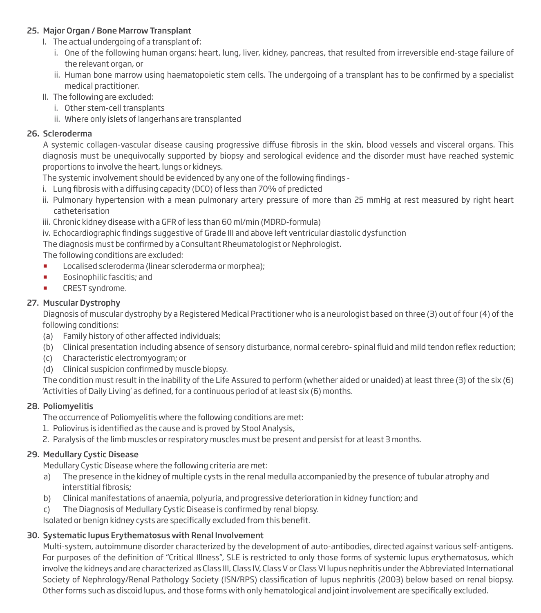#### 25. Major Organ / Bone Marrow Transplant

- I. The actual undergoing of a transplant of:
	- i. One of the following human organs: heart, lung, liver, kidney, pancreas, that resulted from irreversible end-stage failure of the relevant organ, or
	- ii. Human bone marrow using haematopoietic stem cells. The undergoing of a transplant has to be confirmed by a specialist medical practitioner.
- II. The following are excluded:
	- i. Other stem-cell transplants
	- ii. Where only islets of langerhans are transplanted

#### 26. Scleroderma

A systemic collagen-vascular disease causing progressive diffuse fibrosis in the skin, blood vessels and visceral organs. This diagnosis must be unequivocally supported by biopsy and serological evidence and the disorder must have reached systemic proportions to involve the heart, lungs or kidneys.

The systemic involvement should be evidenced by any one of the following findings -

- i. Lung fibrosis with a diffusing capacity (DCO) of less than 70% of predicted
- ii. Pulmonary hypertension with a mean pulmonary artery pressure of more than 25 mmHg at rest measured by right heart catheterisation
- iii. Chronic kidney disease with a GFR of less than 60 ml/min (MDRD-formula)
- iv. Echocardiographic findings suggestive of Grade III and above left ventricular diastolic dysfunction

The diagnosis must be confirmed by a Consultant Rheumatologist or Nephrologist.

The following conditions are excluded:

- **Localised scleroderma (linear scleroderma or morphea);**
- **Eosinophilic fascitis; and**
- **EXECT Syndrome.**

# 27. Muscular Dystrophy

Diagnosis of muscular dystrophy by a Registered Medical Practitioner who is a neurologist based on three (3) out of four (4) of the following conditions:

- (a) Family history of other affected individuals;
- (b) Clinical presentation including absence of sensory disturbance, normal cerebro- spinal fluid and mild tendon reflex reduction;
- (c) Characteristic electromyogram; or
- (d) Clinical suspicion confirmed by muscle biopsy.

The condition must result in the inability of the Life Assured to perform (whether aided or unaided) at least three (3) of the six (6) 'Activities of Daily Living' as defined, for a continuous period of at least six (6) months.

#### 28. Poliomyelitis

The occurrence of Poliomyelitis where the following conditions are met:

- 1. Poliovirus is identified as the cause and is proved by Stool Analysis,
- 2. Paralysis of the limb muscles or respiratory muscles must be present and persist for at least 3 months.

#### 29. Medullary Cystic Disease

Medullary Cystic Disease where the following criteria are met:

- a) The presence in the kidney of multiple cysts in the renal medulla accompanied by the presence of tubular atrophy and interstitial fibrosis;
- b) Clinical manifestations of anaemia, polyuria, and progressive deterioration in kidney function; and
- c) The Diagnosis of Medullary Cystic Disease is confirmed by renal biopsy.

Isolated or benign kidney cysts are specifically excluded from this benefit.

# 30. Systematic lupus Erythematosus with Renal Involvement

Multi-system, autoimmune disorder characterized by the development of auto-antibodies, directed against various self-antigens. For purposes of the definition of "Critical Illness", SLE is restricted to only those forms of systemic lupus erythematosus, which involve the kidneys and are characterized as Class III, Class IV, Class V or Class VI lupus nephritis under the Abbreviated International Society of Nephrology/Renal Pathology Society (ISN/RPS) classification of lupus nephritis (2003) below based on renal biopsy. Other forms such as discoid lupus, and those forms with only hematological and joint involvement are specifically excluded.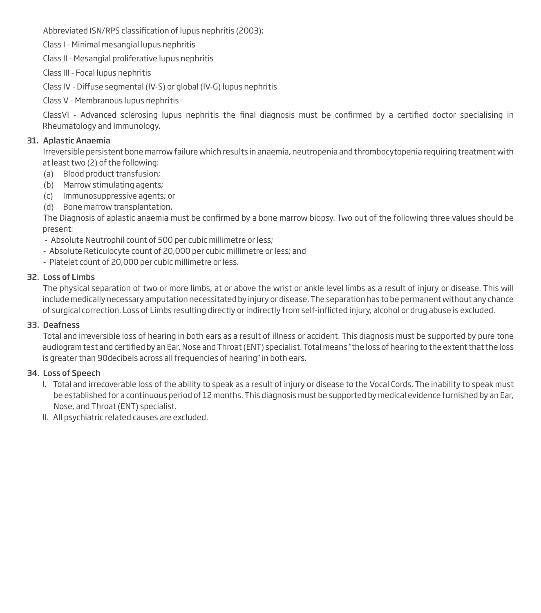Abbreviated ISN/RPS classification of lupus nephritis (2003):

Class I - Minimal mesangial lupus nephritis

Class II - Mesangial proliferative lupus nephritis

Class III - Focal lupus nephritis

Class IV - Diffuse segmental (IV-S) or global (IV-G) lupus nephritis

Class V - Membranous lupus nephritis

ClassVI - Advanced sclerosing lupus nephritis the final diagnosis must be confirmed by a certified doctor specialising in Rheumatology and Immunology.

#### 31. Aplastic Anaemia

Irreversible persistent bone marrow failure which results in anaemia, neutropenia and thrombocytopenia requiring treatment with at least two (2) of the following:

- (a) Blood product transfusion;
- (b) Marrow stimulating agents;
- (c) Immunosuppressive agents; or
- (d) Bone marrow transplantation.

The Diagnosis of aplastic anaemia must be confirmed by a bone marrow biopsy. Two out of the following three values should be present:

- Absolute Neutrophil count of 500 per cubic millimetre or less;
- Absolute Reticulocyte count of 20,000 per cubic millimetre or less; and
- Platelet count of 20,000 per cubic millimetre or less.

#### 32. Loss of Limbs

The physical separation of two or more limbs, at or above the wrist or ankle level limbs as a result of injury or disease. This will include medically necessary amputation necessitated by injury or disease. The separation has to be permanent without any chance of surgical correction. Loss of Limbs resulting directly or indirectly from self-inicted injury, alcohol or drug abuse is excluded.

#### 33. Deafness

Total and irreversible loss of hearing in both ears as a result of illness or accident. This diagnosis must be supported by pure tone audiogram test and certified by an Ear, Nose and Throat (ENT) specialist. Total means "the loss of hearing to the extent that the loss is greater than 90decibels across all frequencies of hearing" in both ears.

#### 34. Loss of Speech

- I. Total and irrecoverable loss of the ability to speak as a result of injury or disease to the Vocal Cords. The inability to speak must be established for a continuous period of 12 months. This diagnosis must be supported by medical evidence furnished by an Ear, Nose, and Throat (ENT) specialist.
- II. All psychiatric related causes are excluded.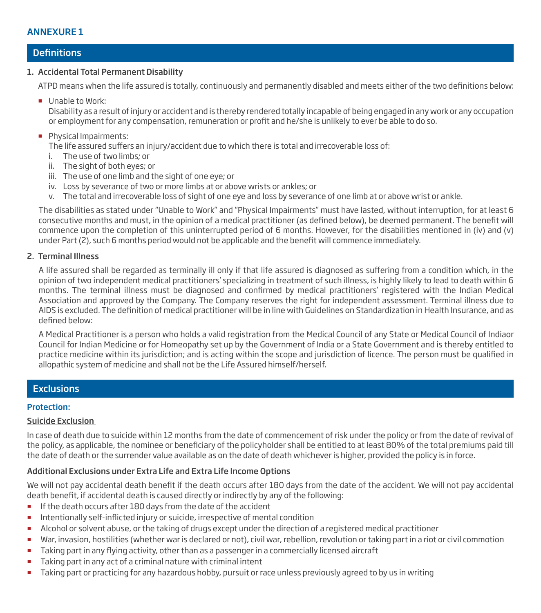#### **Definitions**

#### 1. Accidental Total Permanent Disability

ATPD means when the life assured is totally, continuously and permanently disabled and meets either of the two definitions below:

Unable to Work:

 Disability as a result of injury or accident and is thereby rendered totally incapable of being engaged in any work or any occupation or employment for any compensation, remuneration or profit and he/she is unlikely to ever be able to do so.

**Physical Impairments:** 

The life assured suffers an injury/accident due to which there is total and irrecoverable loss of:

- i. The use of two limbs; or
- ii. The sight of both eyes; or
- iii. The use of one limb and the sight of one eye; or
- iv. Loss by severance of two or more limbs at or above wrists or ankles; or
- v. The total and irrecoverable loss of sight of one eye and loss by severance of one limb at or above wrist or ankle.

The disabilities as stated under "Unable to Work" and "Physical Impairments" must have lasted, without interruption, for at least 6 consecutive months and must, in the opinion of a medical practitioner (as defined below), be deemed permanent. The benefit will commence upon the completion of this uninterrupted period of 6 months. However, for the disabilities mentioned in (iv) and (v) under Part (2), such 6 months period would not be applicable and the benefit will commence immediately.

#### 2. Terminal Illness

A life assured shall be regarded as terminally ill only if that life assured is diagnosed as suffering from a condition which, in the opinion of two independent medical practitioners' specializing in treatment of such illness, is highly likely to lead to death within 6 months. The terminal illness must be diagnosed and confirmed by medical practitioners' registered with the Indian Medical Association and approved by the Company. The Company reserves the right for independent assessment. Terminal illness due to AIDS is excluded. The definition of medical practitioner will be in line with Guidelines on Standardization in Health Insurance, and as defined below:

A Medical Practitioner is a person who holds a valid registration from the Medical Council of any State or Medical Council of Indiaor Council for Indian Medicine or for Homeopathy set up by the Government of India or a State Government and is thereby entitled to practice medicine within its jurisdiction; and is acting within the scope and jurisdiction of licence. The person must be qualified in allopathic system of medicine and shall not be the Life Assured himself/herself.

#### **Exclusions**

#### Protection:

#### Suicide Exclusion

In case of death due to suicide within 12 months from the date of commencement of risk under the policy or from the date of revival of the policy, as applicable, the nominee or beneficiary of the policyholder shall be entitled to at least 80% of the total premiums paid till the date of death or the surrender value available as on the date of death whichever is higher, provided the policy is in force.

#### Additional Exclusions under Extra Life and Extra Life Income Options

We will not pay accidental death benefit if the death occurs after 180 days from the date of the accident. We will not pay accidental death benefit, if accidental death is caused directly or indirectly by any of the following:

- **If the death occurs after 180 days from the date of the accident**
- **Intentionally self-inflicted injury or suicide, irrespective of mental condition**
- Alcohol or solvent abuse, or the taking of drugs except under the direction of a registered medical practitioner
- War, invasion, hostilities (whether war is declared or not), civil war, rebellion, revolution or taking part in a riot or civil commotion
- **Taking part in any flying activity, other than as a passenger in a commercially licensed aircraft**
- Taking part in any act of a criminal nature with criminal intent
- Taking part or practicing for any hazardous hobby, pursuit or race unless previously agreed to by us in writing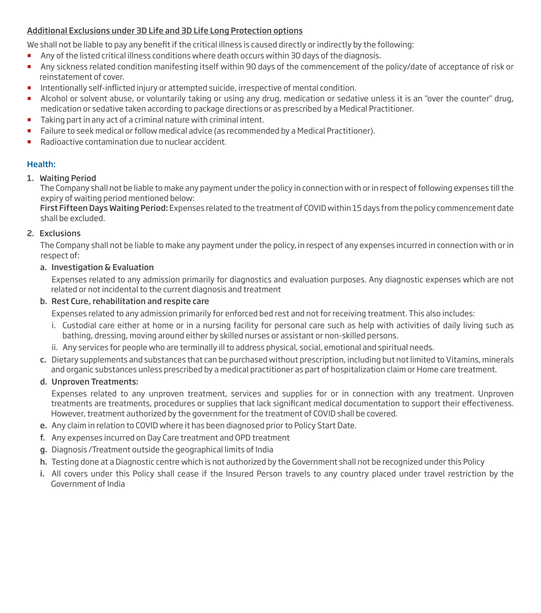#### Additional Exclusions under 3D Life and 3D Life Long Protection options

We shall not be liable to pay any benefit if the critical illness is caused directly or indirectly by the following:

- Any of the listed critical illness conditions where death occurs within 30 days of the diagnosis.
- Any sickness related condition manifesting itself within 90 days of the commencement of the policy/date of acceptance of risk or reinstatement of cover.
- **Intentionally self-inflicted injury or attempted suicide, irrespective of mental condition.**
- Alcohol or solvent abuse, or voluntarily taking or using any drug, medication or sedative unless it is an "over the counter" drug, medication or sedative taken according to package directions or as prescribed by a Medical Practitioner.
- Taking part in any act of a criminal nature with criminal intent.
- **Failure to seek medical or follow medical advice (as recommended by a Medical Practitioner).**
- Radioactive contamination due to nuclear accident.

# Health:

#### 1. Waiting Period

The Company shall not be liable to make any payment under the policy in connection with or in respect of following expenses till the expiry of waiting period mentioned below:

First Fifteen Days Waiting Period: Expenses related to the treatment of COVID within 15 days from the policy commencement date shall be excluded.

#### 2. Exclusions

The Company shall not be liable to make any payment under the policy, in respect of any expenses incurred in connection with or in respect of:

#### a. Investigation & Evaluation

 Expenses related to any admission primarily for diagnostics and evaluation purposes. Any diagnostic expenses which are not related or not incidental to the current diagnosis and treatment

#### b. Rest Cure, rehabilitation and respite care

Expenses related to any admission primarily for enforced bed rest and not for receiving treatment. This also includes:

- i. Custodial care either at home or in a nursing facility for personal care such as help with activities of daily living such as bathing, dressing, moving around either by skilled nurses or assistant or non-skilled persons.
- ii. Any services for people who are terminally ill to address physical, social, emotional and spiritual needs.
- c. Dietary supplements and substances that can be purchased without prescription, including but not limited to Vitamins, minerals and organic substances unless prescribed by a medical practitioner as part of hospitalization claim or Home care treatment.

#### d. Unproven Treatments:

 Expenses related to any unproven treatment, services and supplies for or in connection with any treatment. Unproven treatments are treatments, procedures or supplies that lack significant medical documentation to support their effectiveness. However, treatment authorized by the government for the treatment of COVID shall be covered.

- e. Any claim in relation to COVID where it has been diagnosed prior to Policy Start Date.
- f. Any expenses incurred on Day Care treatment and OPD treatment
- g. Diagnosis /Treatment outside the geographical limits of India
- h. Testing done at a Diagnostic centre which is not authorized by the Government shall not be recognized under this Policy
- i. All covers under this Policy shall cease if the Insured Person travels to any country placed under travel restriction by the Government of India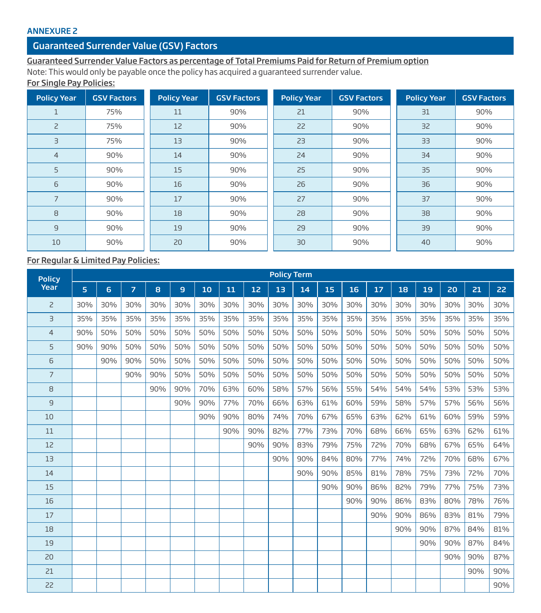#### ANNEXURE 2

# Guaranteed Surrender Value (GSV) Factors

# Guaranteed Surrender Value Factors as percentage of Total Premiums Paid for Return of Premium option

Note: This would only be payable once the policy has acquired a guaranteed surrender value.

# For Single Pay Policies:

| <b>Policy Year</b> | <b>GSV Factors</b> | <b>Policy Year</b> | <b>GSV Factors</b> | <b>Policy Year</b> | <b>GSV Factors</b> | <b>Policy Year</b> | <b>GSV Factors</b> |
|--------------------|--------------------|--------------------|--------------------|--------------------|--------------------|--------------------|--------------------|
| 1                  | 75%                | 11                 | 90%                | 21                 | 90%                | 31                 | 90%                |
| $\overline{c}$     | 75%                | 12                 | 90%                | 22                 | 90%                | 32                 | 90%                |
| $\exists$          | 75%                | 13                 | 90%                | 23                 | 90%                | 33                 | 90%                |
| $\overline{4}$     | 90%                | 14                 | 90%                | 24                 | 90%                | 34                 | 90%                |
| 5                  | 90%                | 15                 | 90%                | 25                 | 90%                | 35                 | 90%                |
| 6                  | 90%                | 16                 | 90%                | 26                 | 90%                | 36                 | 90%                |
| 7                  | 90%                | 17                 | 90%                | 27                 | 90%                | 37                 | 90%                |
| 8                  | 90%                | 18                 | 90%                | 28                 | 90%                | 38                 | 90%                |
| $\overline{9}$     | 90%                | 19                 | 90%                | 29                 | 90%                | 39                 | 90%                |
| 10                 | 90%                | 20                 | 90%                | 30                 | 90%                | 40                 | 90%                |

# For Regular & Limited Pay Policies:

| <b>Policy</b>  |     |     |                |     |     |     |     |     | <b>Policy Term</b> |     |     |     |     |     |     |     |     |     |  |  |  |  |  |  |  |  |  |
|----------------|-----|-----|----------------|-----|-----|-----|-----|-----|--------------------|-----|-----|-----|-----|-----|-----|-----|-----|-----|--|--|--|--|--|--|--|--|--|
| Year           | 5   | 6   | $\overline{z}$ | 8   | 9   | 10  | 11  | 12  | 13                 | 14  | 15  | 16  | 17  | 18  | 19  | 20  | 21  | 22  |  |  |  |  |  |  |  |  |  |
| 2              | 30% | 30% | 30%            | 30% | 30% | 30% | 30% | 30% | 30%                | 30% | 30% | 30% | 30% | 30% | 30% | 30% | 30% | 30% |  |  |  |  |  |  |  |  |  |
| $\overline{3}$ | 35% | 35% | 35%            | 35% | 35% | 35% | 35% | 35% | 35%                | 35% | 35% | 35% | 35% | 35% | 35% | 35% | 35% | 35% |  |  |  |  |  |  |  |  |  |
| $\overline{4}$ | 90% | 50% | 50%            | 50% | 50% | 50% | 50% | 50% | 50%                | 50% | 50% | 50% | 50% | 50% | 50% | 50% | 50% | 50% |  |  |  |  |  |  |  |  |  |
| 5              | 90% | 90% | 50%            | 50% | 50% | 50% | 50% | 50% | 50%                | 50% | 50% | 50% | 50% | 50% | 50% | 50% | 50% | 50% |  |  |  |  |  |  |  |  |  |
| 6              |     | 90% | 90%            | 50% | 50% | 50% | 50% | 50% | 50%                | 50% | 50% | 50% | 50% | 50% | 50% | 50% | 50% | 50% |  |  |  |  |  |  |  |  |  |
| $\overline{7}$ |     |     | 90%            | 90% | 50% | 50% | 50% | 50% | 50%                | 50% | 50% | 50% | 50% | 50% | 50% | 50% | 50% | 50% |  |  |  |  |  |  |  |  |  |
| 8              |     |     |                | 90% | 90% | 70% | 63% | 60% | 58%                | 57% | 56% | 55% | 54% | 54% | 54% | 53% | 53% | 53% |  |  |  |  |  |  |  |  |  |
| 9              |     |     |                |     | 90% | 90% | 77% | 70% | 66%                | 63% | 61% | 60% | 59% | 58% | 57% | 57% | 56% | 56% |  |  |  |  |  |  |  |  |  |
| 10             |     |     |                |     |     | 90% | 90% | 80% | 74%                | 70% | 67% | 65% | 63% | 62% | 61% | 60% | 59% | 59% |  |  |  |  |  |  |  |  |  |
| 11             |     |     |                |     |     |     | 90% | 90% | 82%                | 77% | 73% | 70% | 68% | 66% | 65% | 63% | 62% | 61% |  |  |  |  |  |  |  |  |  |
| 12             |     |     |                |     |     |     |     | 90% | 90%                | 83% | 79% | 75% | 72% | 70% | 68% | 67% | 65% | 64% |  |  |  |  |  |  |  |  |  |
| 13             |     |     |                |     |     |     |     |     | 90%                | 90% | 84% | 80% | 77% | 74% | 72% | 70% | 68% | 67% |  |  |  |  |  |  |  |  |  |
| 14             |     |     |                |     |     |     |     |     |                    | 90% | 90% | 85% | 81% | 78% | 75% | 73% | 72% | 70% |  |  |  |  |  |  |  |  |  |
| 15             |     |     |                |     |     |     |     |     |                    |     | 90% | 90% | 86% | 82% | 79% | 77% | 75% | 73% |  |  |  |  |  |  |  |  |  |
| 16             |     |     |                |     |     |     |     |     |                    |     |     | 90% | 90% | 86% | 83% | 80% | 78% | 76% |  |  |  |  |  |  |  |  |  |
| 17             |     |     |                |     |     |     |     |     |                    |     |     |     | 90% | 90% | 86% | 83% | 81% | 79% |  |  |  |  |  |  |  |  |  |
| 18             |     |     |                |     |     |     |     |     |                    |     |     |     |     | 90% | 90% | 87% | 84% | 81% |  |  |  |  |  |  |  |  |  |
| 19             |     |     |                |     |     |     |     |     |                    |     |     |     |     |     | 90% | 90% | 87% | 84% |  |  |  |  |  |  |  |  |  |
| 20             |     |     |                |     |     |     |     |     |                    |     |     |     |     |     |     | 90% | 90% | 87% |  |  |  |  |  |  |  |  |  |
| 21             |     |     |                |     |     |     |     |     |                    |     |     |     |     |     |     |     | 90% | 90% |  |  |  |  |  |  |  |  |  |
| 22             |     |     |                |     |     |     |     |     |                    |     |     |     |     |     |     |     |     | 90% |  |  |  |  |  |  |  |  |  |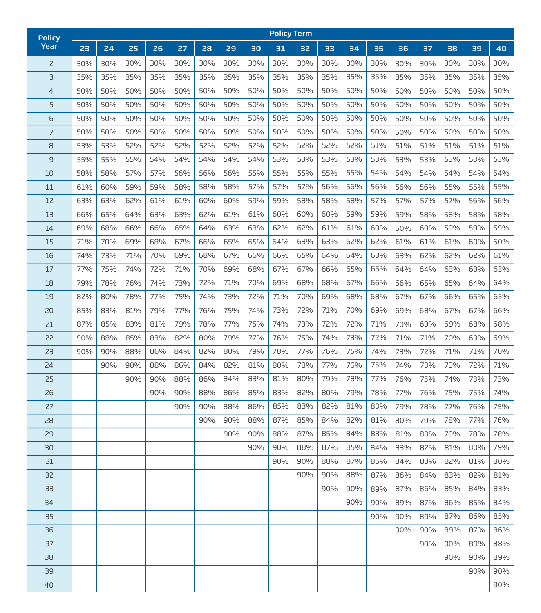| <b>Policy</b>  |     |     |     |     |     |     |     |     | <b>Policy Term</b> |     |     |     |     |     |     |     |     |     |
|----------------|-----|-----|-----|-----|-----|-----|-----|-----|--------------------|-----|-----|-----|-----|-----|-----|-----|-----|-----|
| Year           | 23  | 24  | 25  | 26  | 27  | 28  | 29  | 30  | 31                 | 32  | 33  | 34  | 35  | 36  | 37  | 38  | 39  | 40  |
| $\overline{c}$ | 30% | 30% | 30% | 30% | 30% | 30% | 30% | 30% | 30%                | 30% | 30% | 30% | 30% | 30% | 30% | 30% | 30% | 30% |
| $\exists$      | 35% | 35% | 35% | 35% | 35% | 35% | 35% | 35% | 35%                | 35% | 35% | 35% | 35% | 35% | 35% | 35% | 35% | 35% |
| $\overline{4}$ | 50% | 50% | 50% | 50% | 50% | 50% | 50% | 50% | 50%                | 50% | 50% | 50% | 50% | 50% | 50% | 50% | 50% | 50% |
| 5              | 50% | 50% | 50% | 50% | 50% | 50% | 50% | 50% | 50%                | 50% | 50% | 50% | 50% | 50% | 50% | 50% | 50% | 50% |
| 6              | 50% | 50% | 50% | 50% | 50% | 50% | 50% | 50% | 50%                | 50% | 50% | 50% | 50% | 50% | 50% | 50% | 50% | 50% |
| $\overline{7}$ | 50% | 50% | 50% | 50% | 50% | 50% | 50% | 50% | 50%                | 50% | 50% | 50% | 50% | 50% | 50% | 50% | 50% | 50% |
| 8              | 53% | 53% | 52% | 52% | 52% | 52% | 52% | 52% | 52%                | 52% | 52% | 52% | 51% | 51% | 51% | 51% | 51% | 51% |
| 9              | 55% | 55% | 55% | 54% | 54% | 54% | 54% | 54% | 53%                | 53% | 53% | 53% | 53% | 53% | 53% | 53% | 53% | 53% |
| 10             | 58% | 58% | 57% | 57% | 56% | 56% | 56% | 55% | 55%                | 55% | 55% | 55% | 54% | 54% | 54% | 54% | 54% | 54% |
| 11             | 61% | 60% | 59% | 59% | 58% | 58% | 58% | 57% | 57%                | 57% | 56% | 56% | 56% | 56% | 56% | 55% | 55% | 55% |
| 12             | 63% | 63% | 62% | 61% | 61% | 60% | 60% | 59% | 59%                | 58% | 58% | 58% | 57% | 57% | 57% | 57% | 56% | 56% |
| 13             | 66% | 65% | 64% | 63% | 63% | 62% | 61% | 61% | 60%                | 60% | 60% | 59% | 59% | 59% | 58% | 58% | 58% | 58% |
| 14             | 69% | 68% | 66% | 66% | 65% | 64% | 63% | 63% | 62%                | 62% | 61% | 61% | 60% | 60% | 60% | 59% | 59% | 59% |
| 15             | 71% | 70% | 69% | 68% | 67% | 66% | 65% | 65% | 64%                | 63% | 63% | 62% | 62% | 61% | 61% | 61% | 60% | 60% |
| 16             | 74% | 73% | 71% | 70% | 69% | 68% | 67% | 66% | 66%                | 65% | 64% | 64% | 63% | 63% | 62% | 62% | 62% | 61% |
| 17             | 77% | 75% | 74% | 72% | 71% | 70% | 69% | 68% | 67%                | 67% | 66% | 65% | 65% | 64% | 64% | 63% | 63% | 63% |
| 18             | 79% | 78% | 76% | 74% | 73% | 72% | 71% | 70% | 69%                | 68% | 68% | 67% | 66% | 66% | 65% | 65% | 64% | 64% |
| 19             | 82% | 80% | 78% | 77% | 75% | 74% | 73% | 72% | 71%                | 70% | 69% | 68% | 68% | 67% | 67% | 66% | 65% | 65% |
| 20             | 85% | 83% | 81% | 79% | 77% | 76% | 75% | 74% | 73%                | 72% | 71% | 70% | 69% | 69% | 68% | 67% | 67% | 66% |
| 21             | 87% | 85% | 83% | 81% | 79% | 78% | 77% | 75% | 74%                | 73% | 72% | 72% | 71% | 70% | 69% | 69% | 68% | 68% |
| 22             | 90% | 88% | 85% | 83% | 82% | 80% | 79% | 77% | 76%                | 75% | 74% | 73% | 72% | 71% | 71% | 70% | 69% | 69% |
| 23             | 90% | 90% | 88% | 86% | 84% | 82% | 80% | 79% | 78%                | 77% | 76% | 75% | 74% | 73% | 72% | 71% | 71% | 70% |
| 24             |     | 90% | 90% | 88% | 86% | 84% | 82% | 81% | 80%                | 78% | 77% | 76% | 75% | 74% | 73% | 73% | 72% | 71% |
| 25             |     |     | 90% | 90% | 88% | 86% | 84% | 83% | 81%                | 80% | 79% | 78% | 77% | 76% | 75% | 74% | 73% | 73% |
| 26             |     |     |     | 90% | 90% | 88% | 86% | 85% | 83%                | 82% | 80% | 79% | 78% | 77% | 76% | 75% | 75% | 74% |
| 27             |     |     |     |     | 90% | 90% | 88% | 86% | 85%                | 83% | 82% | 81% | 80% | 79% | 78% | 77% | 76% | 75% |
| 28             |     |     |     |     |     | 90% | 90% | 88% | 87%                | 85% | 84% | 82% | 81% | 80% | 79% | 78% | 77% | 76% |
| 29             |     |     |     |     |     |     | 90% | 90% | 88%                | 87% | 85% | 84% | 83% | 81% | 80% | 79% | 78% | 78% |
| 30             |     |     |     |     |     |     |     | 90% | 90%                | 88% | 87% | 85% | 84% | 83% | 82% | 81% | 80% | 79% |
| 31             |     |     |     |     |     |     |     |     | 90%                | 90% | 88% | 87% | 86% | 84% | 83% | 82% | 81% | 80% |
| 32             |     |     |     |     |     |     |     |     |                    | 90% | 90% | 88% | 87% | 86% | 84% | 83% | 82% | 81% |
| 33             |     |     |     |     |     |     |     |     |                    |     | 90% | 90% | 89% | 87% | 86% | 85% | 84% | 83% |
| 34             |     |     |     |     |     |     |     |     |                    |     |     | 90% | 90% | 89% | 87% | 86% | 85% | 84% |
| 35             |     |     |     |     |     |     |     |     |                    |     |     |     | 90% | 90% | 89% | 87% | 86% | 85% |
| 36             |     |     |     |     |     |     |     |     |                    |     |     |     |     | 90% | 90% | 89% | 87% | 86% |
| 37             |     |     |     |     |     |     |     |     |                    |     |     |     |     |     | 90% | 90% | 89% | 88% |
| 38             |     |     |     |     |     |     |     |     |                    |     |     |     |     |     |     | 90% | 90% | 89% |
| 39             |     |     |     |     |     |     |     |     |                    |     |     |     |     |     |     |     | 90% | 90% |
| 40             |     |     |     |     |     |     |     |     |                    |     |     |     |     |     |     |     |     | 90% |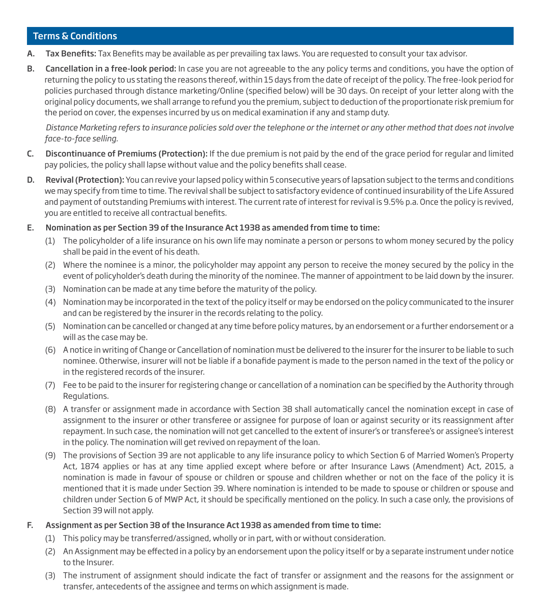#### Terms & Conditions

- A. Tax Benefits: Tax Benefits may be available as per prevailing tax laws. You are requested to consult your tax advisor.
- B. Cancellation in a free-look period: In case you are not agreeable to the any policy terms and conditions, you have the option of returning the policy to us stating the reasons thereof, within 15 days from the date of receipt of the policy. The free-look period for policies purchased through distance marketing/Online (specified below) will be 30 days. On receipt of your letter along with the original policy documents, we shall arrange to refund you the premium, subject to deduction of the proportionate risk premium for the period on cover, the expenses incurred by us on medical examination if any and stamp duty.

*Distance Marketing refers to insurance policies sold over the telephone or the internet or any other method that does not involve face-to-face selling.*

- C. Discontinuance of Premiums (Protection): If the due premium is not paid by the end of the grace period for regular and limited pay policies, the policy shall lapse without value and the policy benefits shall cease.
- D. Revival (Protection): You can revive your lapsed policy within 5 consecutive years of lapsation subject to the terms and conditions we may specify from time to time. The revival shall be subject to satisfactory evidence of continued insurability of the Life Assured and payment of outstanding Premiums with interest. The current rate of interest for revival is 9.5% p.a. Once the policy is revived, you are entitled to receive all contractual benefits.

#### E. Nomination as per Section 39 of the Insurance Act 1938 as amended from time to time:

- (1) The policyholder of a life insurance on his own life may nominate a person or persons to whom money secured by the policy shall be paid in the event of his death.
- (2) Where the nominee is a minor, the policyholder may appoint any person to receive the money secured by the policy in the event of policyholder's death during the minority of the nominee. The manner of appointment to be laid down by the insurer.
- (3) Nomination can be made at any time before the maturity of the policy.
- (4) Nomination may be incorporated in the text of the policy itself or may be endorsed on the policy communicated to the insurer and can be registered by the insurer in the records relating to the policy.
- (5) Nomination can be cancelled or changed at any time before policy matures, by an endorsement or a further endorsement or a will as the case may be.
- (6) A notice in writing of Change or Cancellation of nomination must be delivered to the insurer for the insurer to be liable to such nominee. Otherwise, insurer will not be liable if a bonafide payment is made to the person named in the text of the policy or in the registered records of the insurer.
- (7) Fee to be paid to the insurer for registering change or cancellation of a nomination can be specified by the Authority through Regulations.
- (8) A transfer or assignment made in accordance with Section 38 shall automatically cancel the nomination except in case of assignment to the insurer or other transferee or assignee for purpose of loan or against security or its reassignment after repayment. In such case, the nomination will not get cancelled to the extent of insurer's or transferee's or assignee's interest in the policy. The nomination will get revived on repayment of the loan.
- (9) The provisions of Section 39 are not applicable to any life insurance policy to which Section 6 of Married Women's Property Act, 1874 applies or has at any time applied except where before or after Insurance Laws (Amendment) Act, 2015, a nomination is made in favour of spouse or children or spouse and children whether or not on the face of the policy it is mentioned that it is made under Section 39. Where nomination is intended to be made to spouse or children or spouse and children under Section 6 of MWP Act, it should be specifically mentioned on the policy. In such a case only, the provisions of Section 39 will not apply.

#### F. Assignment as per Section 38 of the Insurance Act 1938 as amended from time to time:

- (1) This policy may be transferred/assigned, wholly or in part, with or without consideration.
- (2) An Assignment may be effected in a policy by an endorsement upon the policy itself or by a separate instrument under notice to the Insurer.
- (3) The instrument of assignment should indicate the fact of transfer or assignment and the reasons for the assignment or transfer, antecedents of the assignee and terms on which assignment is made.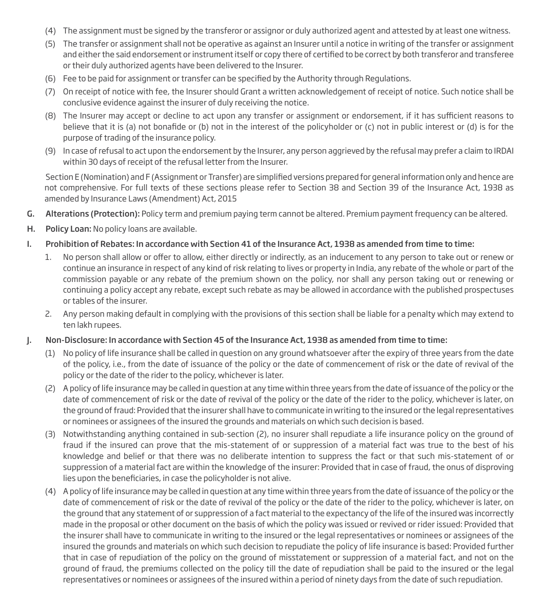- (4) The assignment must be signed by the transferor or assignor or duly authorized agent and attested by at least one witness.
- (5) The transfer or assignment shall not be operative as against an Insurer until a notice in writing of the transfer or assignment and either the said endorsement or instrument itself or copy there of certified to be correct by both transferor and transferee or their duly authorized agents have been delivered to the Insurer.
- (6) Fee to be paid for assignment or transfer can be specified by the Authority through Regulations.
- (7) On receipt of notice with fee, the Insurer should Grant a written acknowledgement of receipt of notice. Such notice shall be conclusive evidence against the insurer of duly receiving the notice.
- (8) The Insurer may accept or decline to act upon any transfer or assignment or endorsement, if it has sufficient reasons to believe that it is (a) not bonafide or (b) not in the interest of the policyholder or (c) not in public interest or (d) is for the purpose of trading of the insurance policy.
- (9) In case of refusal to act upon the endorsement by the Insurer, any person aggrieved by the refusal may prefer a claim to IRDAI within 30 days of receipt of the refusal letter from the Insurer.

Section E (Nomination) and F (Assignment or Transfer) are simplified versions prepared for general information only and hence are not comprehensive. For full texts of these sections please refer to Section 38 and Section 39 of the Insurance Act, 1938 as amended by Insurance Laws (Amendment) Act, 2015

- G. Alterations (Protection): Policy term and premium paying term cannot be altered. Premium payment frequency can be altered.
- H. Policy Loan: No policy loans are available.
- I. Prohibition of Rebates: In accordance with Section 41 of the Insurance Act, 1938 as amended from time to time:
	- 1. No person shall allow or offer to allow, either directly or indirectly, as an inducement to any person to take out or renew or continue an insurance in respect of any kind of risk relating to lives or property in India, any rebate of the whole or part of the commission payable or any rebate of the premium shown on the policy, nor shall any person taking out or renewing or continuing a policy accept any rebate, except such rebate as may be allowed in accordance with the published prospectuses or tables of the insurer.
	- 2. Any person making default in complying with the provisions of this section shall be liable for a penalty which may extend to ten lakh rupees.
- J. Non-Disclosure: In accordance with Section 45 of the Insurance Act, 1938 as amended from time to time:
	- (1) No policy of life insurance shall be called in question on any ground whatsoever after the expiry of three years from the date of the policy, i.e., from the date of issuance of the policy or the date of commencement of risk or the date of revival of the policy or the date of the rider to the policy, whichever is later.
	- (2) A policy of life insurance may be called in question at any time within three years from the date of issuance of the policy or the date of commencement of risk or the date of revival of the policy or the date of the rider to the policy, whichever is later, on the ground of fraud: Provided that the insurer shall have to communicate in writing to the insured or the legal representatives or nominees or assignees of the insured the grounds and materials on which such decision is based.
	- (3) Notwithstanding anything contained in sub-section (2), no insurer shall repudiate a life insurance policy on the ground of fraud if the insured can prove that the mis-statement of or suppression of a material fact was true to the best of his knowledge and belief or that there was no deliberate intention to suppress the fact or that such mis-statement of or suppression of a material fact are within the knowledge of the insurer: Provided that in case of fraud, the onus of disproving lies upon the beneficiaries, in case the policyholder is not alive.
	- (4) A policy of life insurance may be called in question at any time within three years from the date of issuance of the policy or the date of commencement of risk or the date of revival of the policy or the date of the rider to the policy, whichever is later, on the ground that any statement of or suppression of a fact material to the expectancy of the life of the insured was incorrectly made in the proposal or other document on the basis of which the policy was issued or revived or rider issued: Provided that the insurer shall have to communicate in writing to the insured or the legal representatives or nominees or assignees of the insured the grounds and materials on which such decision to repudiate the policy of life insurance is based: Provided further that in case of repudiation of the policy on the ground of misstatement or suppression of a material fact, and not on the ground of fraud, the premiums collected on the policy till the date of repudiation shall be paid to the insured or the legal representatives or nominees or assignees of the insured within a period of ninety days from the date of such repudiation.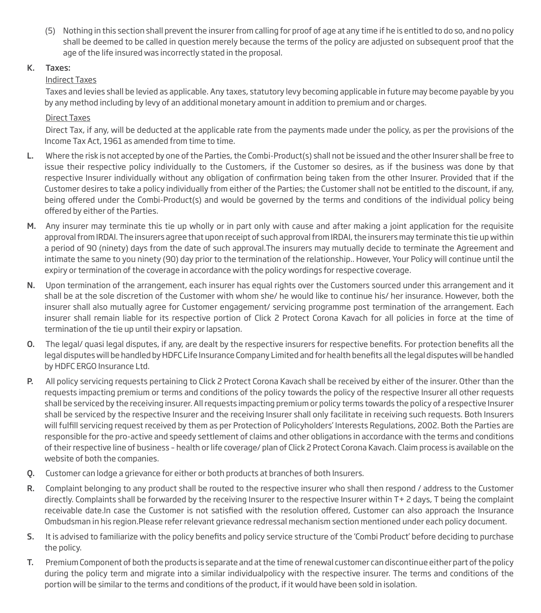(5) Nothing in this section shall prevent the insurer from calling for proof of age at any time if he is entitled to do so, and no policy shall be deemed to be called in question merely because the terms of the policy are adjusted on subsequent proof that the age of the life insured was incorrectly stated in the proposal.

# K. Taxes:

# Indirect Taxes

 Taxes and levies shall be levied as applicable. Any taxes, statutory levy becoming applicable in future may become payable by you by any method including by levy of an additional monetary amount in addition to premium and or charges.

# Direct Taxes

 Direct Tax, if any, will be deducted at the applicable rate from the payments made under the policy, as per the provisions of the Income Tax Act, 1961 as amended from time to time.

- L. Where the risk is not accepted by one of the Parties, the Combi-Product(s) shall not be issued and the other Insurer shall be free to issue their respective policy individually to the Customers, if the Customer so desires, as if the business was done by that respective Insurer individually without any obligation of confirmation being taken from the other Insurer. Provided that if the Customer desires to take a policy individually from either of the Parties; the Customer shall not be entitled to the discount, if any, being offered under the Combi-Product(s) and would be governed by the terms and conditions of the individual policy being offered by either of the Parties.
- M. Any insurer may terminate this tie up wholly or in part only with cause and after making a joint application for the requisite approval from IRDAI. The insurers agree that upon receipt of such approval from IRDAI, the insurers may terminate this tie up within a period of 90 (ninety) days from the date of such approval.The insurers may mutually decide to terminate the Agreement and intimate the same to you ninety (90) day prior to the termination of the relationship.. However, Your Policy will continue until the expiry or termination of the coverage in accordance with the policy wordings for respective coverage.
- N. Upon termination of the arrangement, each insurer has equal rights over the Customers sourced under this arrangement and it shall be at the sole discretion of the Customer with whom she/ he would like to continue his/ her insurance. However, both the insurer shall also mutually agree for Customer engagement/ servicing programme post termination of the arrangement. Each insurer shall remain liable for its respective portion of Click 2 Protect Corona Kavach for all policies in force at the time of termination of the tie up until their expiry or lapsation.
- O. The legal/ quasi legal disputes, if any, are dealt by the respective insurers for respective benefits. For protection benefits all the legal disputes will be handled by HDFC Life Insurance Company Limited and for health benefits all the legal disputes will be handled by HDFC ERGO Insurance Ltd.
- P. All policy servicing requests pertaining to Click 2 Protect Corona Kavach shall be received by either of the insurer. Other than the requests impacting premium or terms and conditions of the policy towards the policy of the respective Insurer all other requests shall be serviced by the receiving insurer. All requests impacting premium or policy terms towards the policy of a respective Insurer shall be serviced by the respective Insurer and the receiving Insurer shall only facilitate in receiving such requests. Both Insurers will fulfill servicing request received by them as per Protection of Policyholders' Interests Regulations, 2002. Both the Parties are responsible for the pro-active and speedy settlement of claims and other obligations in accordance with the terms and conditions of their respective line of business – health or life coverage/ plan of Click 2 Protect Corona Kavach. Claim process is available on the website of both the companies.
- Q. Customer can lodge a grievance for either or both products at branches of both Insurers.
- R. Complaint belonging to any product shall be routed to the respective insurer who shall then respond / address to the Customer directly. Complaints shall be forwarded by the receiving Insurer to the respective Insurer within T+ 2 days, T being the complaint receivable date.In case the Customer is not satisfied with the resolution offered, Customer can also approach the Insurance Ombudsman in his region.Please refer relevant grievance redressal mechanism section mentioned under each policy document.
- S. It is advised to familiarize with the policy benefits and policy service structure of the 'Combi Product' before deciding to purchase the policy.
- T. Premium Component of both the products is separate and at the time of renewal customer can discontinue either part of the policy during the policy term and migrate into a similar individualpolicy with the respective insurer. The terms and conditions of the portion will be similar to the terms and conditions of the product, if it would have been sold in isolation.